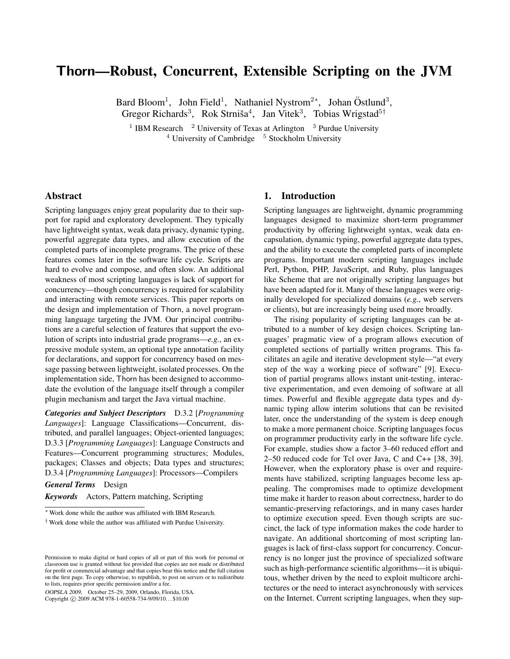# Thorn—Robust, Concurrent, Extensible Scripting on the JVM

Bard Bloom<sup>1</sup>, John Field<sup>1</sup>, Nathaniel Nystrom<sup>2</sup>\*, Johan Östlund<sup>3</sup>, Gregor Richards<sup>3</sup>, Rok Strniša<sup>4</sup>, Jan Vitek<sup>3</sup>, Tobias Wrigstad<sup>5†</sup>

<sup>1</sup> IBM Research  $2$  University of Texas at Arlington  $3$  Purdue University

 $4$  University of Cambridge  $5$  Stockholm University

# Abstract

Scripting languages enjoy great popularity due to their support for rapid and exploratory development. They typically have lightweight syntax, weak data privacy, dynamic typing, powerful aggregate data types, and allow execution of the completed parts of incomplete programs. The price of these features comes later in the software life cycle. Scripts are hard to evolve and compose, and often slow. An additional weakness of most scripting languages is lack of support for concurrency—though concurrency is required for scalability and interacting with remote services. This paper reports on the design and implementation of Thorn, a novel programming language targeting the JVM. Our principal contributions are a careful selection of features that support the evolution of scripts into industrial grade programs—*e.g.*, an expressive module system, an optional type annotation facility for declarations, and support for concurrency based on message passing between lightweight, isolated processes. On the implementation side, Thorn has been designed to accommodate the evolution of the language itself through a compiler plugin mechanism and target the Java virtual machine.

*Categories and Subject Descriptors* D.3.2 [*Programming Languages*]: Language Classifications—Concurrent, distributed, and parallel languages; Object-oriented languages; D.3.3 [*Programming Languages*]: Language Constructs and Features—Concurrent programming structures; Modules, packages; Classes and objects; Data types and structures; D.3.4 [*Programming Languages*]: Processors—Compilers

*General Terms* Design

*Keywords* Actors, Pattern matching, Scripting

OOPSLA 2009, October 25–29, 2009, Orlando, Florida, USA. Copyright © 2009 ACM 978-1-60558-734-9/09/10... \$10.00

# 1. Introduction

Scripting languages are lightweight, dynamic programming languages designed to maximize short-term programmer productivity by offering lightweight syntax, weak data encapsulation, dynamic typing, powerful aggregate data types, and the ability to execute the completed parts of incomplete programs. Important modern scripting languages include Perl, Python, PHP, JavaScript, and Ruby, plus languages like Scheme that are not originally scripting languages but have been adapted for it. Many of these languages were originally developed for specialized domains (*e.g.*, web servers or clients), but are increasingly being used more broadly.

The rising popularity of scripting languages can be attributed to a number of key design choices. Scripting languages' pragmatic view of a program allows execution of completed sections of partially written programs. This facilitates an agile and iterative development style—"at every step of the way a working piece of software" [9]. Execution of partial programs allows instant unit-testing, interactive experimentation, and even demoing of software at all times. Powerful and flexible aggregate data types and dynamic typing allow interim solutions that can be revisited later, once the understanding of the system is deep enough to make a more permanent choice. Scripting languages focus on programmer productivity early in the software life cycle. For example, studies show a factor 3–60 reduced effort and 2–50 reduced code for Tcl over Java, C and C++ [38, 39]. However, when the exploratory phase is over and requirements have stabilized, scripting languages become less appealing. The compromises made to optimize development time make it harder to reason about correctness, harder to do semantic-preserving refactorings, and in many cases harder to optimize execution speed. Even though scripts are succinct, the lack of type information makes the code harder to navigate. An additional shortcoming of most scripting languages is lack of first-class support for concurrency. Concurrency is no longer just the province of specialized software such as high-performance scientific algorithms—it is ubiquitous, whether driven by the need to exploit multicore architectures or the need to interact asynchronously with services on the Internet. Current scripting languages, when they sup-

<sup>∗</sup> Work done while the author was affiliated with IBM Research.

<sup>†</sup> Work done while the author was affiliated with Purdue University.

Permission to make digital or hard copies of all or part of this work for personal or classroom use is granted without fee provided that copies are not made or distributed for profit or commercial advantage and that copies bear this notice and the full citation on the first page. To copy otherwise, to republish, to post on servers or to redistribute to lists, requires prior specific permission and/or a fee.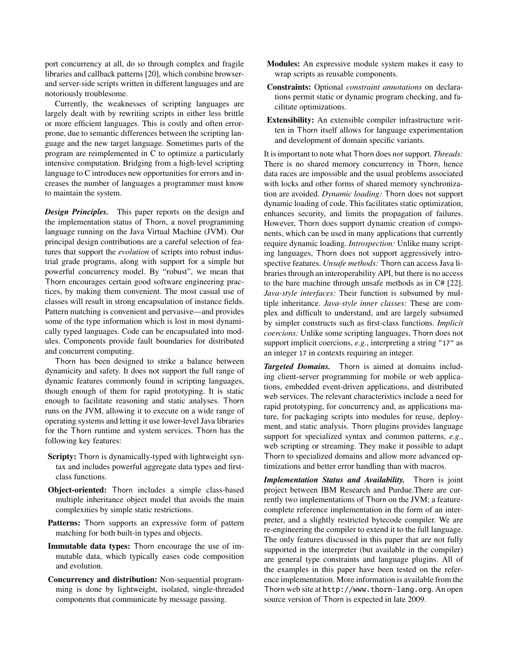port concurrency at all, do so through complex and fragile libraries and callback patterns [20], which combine browserand server-side scripts written in different languages and are notoriously troublesome.

Currently, the weaknesses of scripting languages are largely dealt with by rewriting scripts in either less brittle or more efficient languages. This is costly and often errorprone, due to semantic differences between the scripting language and the new target language. Sometimes parts of the program are reimplemented in C to optimize a particularly intensive computation. Bridging from a high-level scripting language to C introduces new opportunities for errors and increases the number of languages a programmer must know to maintain the system.

*Design Principles.* This paper reports on the design and the implementation status of Thorn, a novel programming language running on the Java Virtual Machine (JVM). Our principal design contributions are a careful selection of features that support the *evolution* of scripts into robust industrial grade programs, along with support for a simple but powerful concurrency model. By "robust", we mean that Thorn encourages certain good software engineering practices, by making them convenient. The most casual use of classes will result in strong encapsulation of instance fields. Pattern matching is convenient and pervasive—and provides some of the type information which is lost in most dynamically typed languages. Code can be encapsulated into modules. Components provide fault boundaries for distributed and concurrent computing.

Thorn has been designed to strike a balance between dynamicity and safety. It does not support the full range of dynamic features commonly found in scripting languages, though enough of them for rapid prototyping. It is static enough to facilitate reasoning and static analyses. Thorn runs on the JVM, allowing it to execute on a wide range of operating systems and letting it use lower-level Java libraries for the Thorn runtime and system services. Thorn has the following key features:

- Scripty: Thorn is dynamically-typed with lightweight syntax and includes powerful aggregate data types and firstclass functions.
- Object-oriented: Thorn includes a simple class-based multiple inheritance object model that avoids the main complexities by simple static restrictions.
- Patterns: Thorn supports an expressive form of pattern matching for both built-in types and objects.
- Immutable data types: Thorn encourage the use of immutable data, which typically eases code composition and evolution.
- Concurrency and distribution: Non-sequential programming is done by lightweight, isolated, single-threaded components that communicate by message passing.
- Modules: An expressive module system makes it easy to wrap scripts as reusable components.
- Constraints: Optional *constraint annotations* on declarations permit static or dynamic program checking, and facilitate optimizations.
- Extensibility: An extensible compiler infrastructure written in Thorn itself allows for language experimentation and development of domain specific variants.

It is important to note what Thorn does *not* support. *Threads:* There is no shared memory concurrency in Thorn, hence data races are impossible and the usual problems associated with locks and other forms of shared memory synchronization are avoided. *Dynamic loading:* Thorn does not support dynamic loading of code. This facilitates static optimization, enhances security, and limits the propagation of failures. However, Thorn does support dynamic creation of components, which can be used in many applications that currently require dynamic loading. *Introspection:* Unlike many scripting languages, Thorn does not support aggressively introspective features. *Unsafe methods:* Thorn can access Java libraries through an interoperability API, but there is no access to the bare machine through unsafe methods as in C# [22]. *Java-style interfaces:* Their function is subsumed by multiple inheritance. *Java-style inner classes:* These are complex and difficult to understand, and are largely subsumed by simpler constructs such as first-class functions. *Implicit coercions:* Unlike some scripting languages, Thorn does not support implicit coercions, *e.g.*, interpreting a string "17" as an integer 17 in contexts requiring an integer.

*Targeted Domains.* Thorn is aimed at domains including client-server programming for mobile or web applications, embedded event-driven applications, and distributed web services. The relevant characteristics include a need for rapid prototyping, for concurrency and, as applications mature, for packaging scripts into modules for reuse, deployment, and static analysis. Thorn plugins provides language support for specialized syntax and common patterns, *e.g.*, web scripting or streaming. They make it possible to adapt Thorn to specialized domains and allow more advanced optimizations and better error handling than with macros.

*Implementation Status and Availability.* Thorn is joint project between IBM Research and Purdue.There are currently two implementations of Thorn on the JVM: a featurecomplete reference implementation in the form of an interpreter, and a slightly restricted bytecode compiler. We are re-engineering the compiler to extend it to the full language. The only features discussed in this paper that are not fully supported in the interpreter (but available in the compiler) are general type constraints and language plugins. All of the examples in this paper have been tested on the reference implementation. More information is available from the Thorn web site at http://www.thorn-lang.org. An open source version of Thorn is expected in late 2009.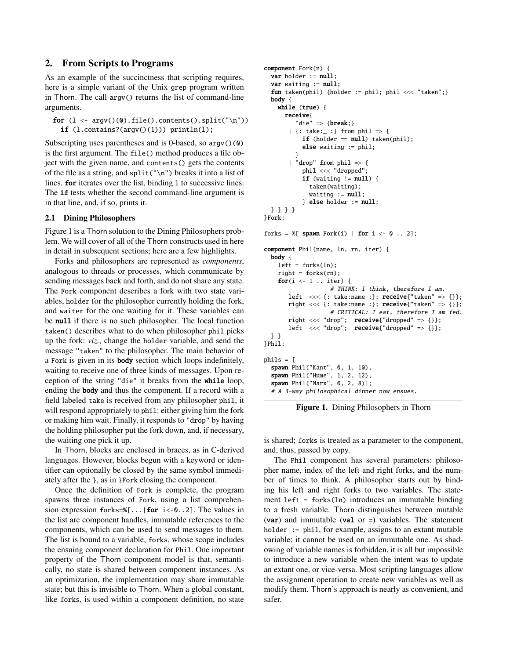### 2. From Scripts to Programs

As an example of the succinctness that scripting requires, here is a simple variant of the Unix grep program written in Thorn. The call argv() returns the list of command-line arguments.

for (l <- argv()(0).file().contents().split("\n")) if (l.contains?(argv()(1))) println(l);

Subscripting uses parentheses and is 0-based, so  $\text{arg}(x)$ is the first argument. The file() method produces a file object with the given name, and contents() gets the contents of the file as a string, and  $split("n")$  breaks it into a list of lines. for iterates over the list, binding l to successive lines. The **if** tests whether the second command-line argument is in that line, and, if so, prints it.

#### 2.1 Dining Philosophers

Figure 1 is a Thorn solution to the Dining Philosophers problem. We will cover of all of the Thorn constructs used in here in detail in subsequent sections; here are a few highlights.

Forks and philosophers are represented as *components*, analogous to threads or processes, which communicate by sending messages back and forth, and do not share any state. The Fork component describes a fork with two state variables, holder for the philosopher currently holding the fork, and waiter for the one waiting for it. These variables can be null if there is no such philosopher. The local function taken() describes what to do when philosopher phil picks up the fork: *viz.*, change the holder variable, and send the message "taken" to the philosopher. The main behavior of a Fork is given in its body section which loops indefinitely, waiting to receive one of three kinds of messages. Upon reception of the string "die" it breaks from the while loop, ending the body and thus the component. If a record with a field labeled take is received from any philosopher phil, it will respond appropriately to phil: either giving him the fork or making him wait. Finally, it responds to "drop" by having the holding philosopher put the fork down, and, if necessary, the waiting one pick it up.

In Thorn, blocks are enclosed in braces, as in C-derived languages. However, blocks begun with a keyword or identifier can optionally be closed by the same symbol immediately after the }, as in }Fork closing the component.

Once the definition of Fork is complete, the program spawns three instances of Fork, using a list comprehension expression forks=% $[...]$  for i<-0..2]. The values in the list are component handles, immutable references to the components, which can be used to send messages to them. The list is bound to a variable, forks, whose scope includes the ensuing component declaration for Phil. One important property of the Thorn component model is that, semantically, no state is shared between component instances. As an optimization, the implementation may share immutable state; but this is invisible to Thorn. When a global constant, like forks, is used within a component definition, no state

```
component Fork(n) {
  var holder := null:
  var waiting := null:
  fun taken(phil) {holder := phil; phil <<< "taken";}
  body {
    while (true) {
      receive{
          "die" \Rightarrow {break;}
        | {: take:_ :} from phil => {
            if (holder == null) taken(phil);
            else waiting := phil;
          }
        | "drop" from phil => {
            phil <<< "dropped"
            if (waiting != null) {
              taken(waiting);
              waiting := \texttt{null};
            } else holder := null;
  } } } }
}Fork;
forks = %[ spawn Fork(i) | for i \leftarrow 0 .. 2];
component Phil(name, ln, rn, iter) {
  body {
    left = forks(ln);
    right = forks(rn);
    for(i \leftarrow 1 .. iter) {
                     # THINK: I think, therefore I am.
       left \langle \langle \cdot | \cdot \rangle {: take:name : }; receive{"taken" => {} };
       right <<< \{: take:name :}; receive\{"taken" => \{\};
                     # CRITICAL: I eat, therefore I am fed.
        right <<< "drop"; \text{receive}{"dropped" => {}};
        left << "drop"; receive{"dropped" => {}};
  } }
}Phil;
phils = [
  spawn Phil("Kant", 0, 1, 10),
  spawn Phil("Hume", 1, 2, 12),
  spawn Phil("Marx", 0, 2, 8)];
  # A 3-way philosophical dinner now ensues.
```
Figure 1. Dining Philosophers in Thorn

is shared; forks is treated as a parameter to the component, and, thus, passed by copy.

The Phil component has several parameters: philosopher name, index of the left and right forks, and the number of times to think. A philosopher starts out by binding his left and right forks to two variables. The statement left = forks(ln) introduces an immutable binding to a fresh variable. Thorn distinguishes between mutable (var) and immutable (val or  $=$ ) variables. The statement holder := phil, for example, assigns to an extant mutable variable; it cannot be used on an immutable one. As shadowing of variable names is forbidden, it is all but impossible to introduce a new variable when the intent was to update an extant one, or vice-versa. Most scripting languages allow the assignment operation to create new variables as well as modify them. Thorn's approach is nearly as convenient, and safer.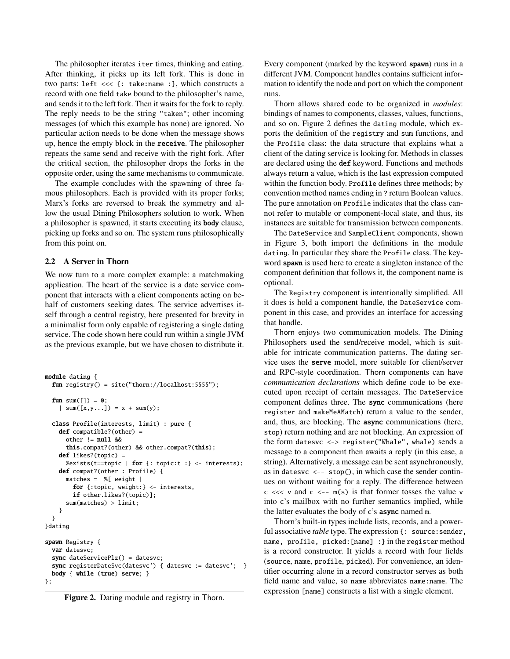The philosopher iterates iter times, thinking and eating. After thinking, it picks up its left fork. This is done in two parts: left <<< {: take:name :}, which constructs a record with one field take bound to the philosopher's name, and sends it to the left fork. Then it waits for the fork to reply. The reply needs to be the string "taken"; other incoming messages (of which this example has none) are ignored. No particular action needs to be done when the message shows up, hence the empty block in the receive. The philosopher repeats the same send and receive with the right fork. After the critical section, the philosopher drops the forks in the opposite order, using the same mechanisms to communicate.

The example concludes with the spawning of three famous philosophers. Each is provided with its proper forks; Marx's forks are reversed to break the symmetry and allow the usual Dining Philosophers solution to work. When a philosopher is spawned, it starts executing its body clause, picking up forks and so on. The system runs philosophically from this point on.

#### 2.2 A Server in Thorn

We now turn to a more complex example: a matchmaking application. The heart of the service is a date service component that interacts with a client components acting on behalf of customers seeking dates. The service advertises itself through a central registry, here presented for brevity in a minimalist form only capable of registering a single dating service. The code shown here could run within a single JVM as the previous example, but we have chosen to distribute it.

```
module dating {
  fun registry() = site("thorn://localhost:5555");
  fun sum([]) = 0;
    |\text{sum}([x,y...]) = x + \text{sum}(y);class Profile(interests, limit) : pure {
   def compatible?(other) =
      other != null &&
      this.compat?(other) && other.compat?(this);
    def likes?(topic) =
      %exists(t==topic | for {: topic:t :} <- interests);
    def compat?(other : Profile) {
      matches = %[ weight |
        for {:topic, weight:} \leftarrow interests,
        if other.likes?(topic)];
      sum(matches) > limit;
   }
 }
}dating
spawn Registry {
 var datesvc;
  sync dateServicePlz() = datesvc;
  sync registerDateSvc(datesvc') { datesvc := datesvc'; }
 body { while (true) serve; }
};
```
Figure 2. Dating module and registry in Thorn.

Every component (marked by the keyword spawn) runs in a different JVM. Component handles contains sufficient information to identify the node and port on which the component runs.

Thorn allows shared code to be organized in *modules*: bindings of names to components, classes, values, functions, and so on. Figure 2 defines the dating module, which exports the definition of the registry and sum functions, and the Profile class: the data structure that explains what a client of the dating service is looking for. Methods in classes are declared using the def keyword. Functions and methods always return a value, which is the last expression computed within the function body. Profile defines three methods; by convention method names ending in ? return Boolean values. The pure annotation on Profile indicates that the class cannot refer to mutable or component-local state, and thus, its instances are suitable for transmission between components.

The DateService and SampleClient components, shown in Figure 3, both import the definitions in the module dating. In particular they share the Profile class. The keyword spawn is used here to create a singleton instance of the component definition that follows it, the component name is optional.

The Registry component is intentionally simplified. All it does is hold a component handle, the DateService component in this case, and provides an interface for accessing that handle.

Thorn enjoys two communication models. The Dining Philosophers used the send/receive model, which is suitable for intricate communication patterns. The dating service uses the serve model, more suitable for client/server and RPC-style coordination. Thorn components can have *communication declarations* which define code to be executed upon receipt of certain messages. The DateService component defines three. The sync communications (here register and makeMeAMatch) return a value to the sender, and, thus, are blocking. The async communications (here, stop) return nothing and are not blocking. An expression of the form datesvc <-> register("Whale", whale) sends a message to a component then awaits a reply (in this case, a string). Alternatively, a message can be sent asynchronously, as in datesvc  $\leq -$  stop(), in which case the sender continues on without waiting for a reply. The difference between  $c \ll v$  and  $c \ll -m(s)$  is that former tosses the value v into c's mailbox with no further semantics implied, while the latter evaluates the body of c's async named m.

Thorn's built-in types include lists, records, and a powerful associative *table* type. The expression {: source: sender, name, profile, picked:[name] :} in the register method is a record constructor. It yields a record with four fields (source, name, profile, picked). For convenience, an identifier occurring alone in a record constructor serves as both field name and value, so name abbreviates name:name. The expression [name] constructs a list with a single element.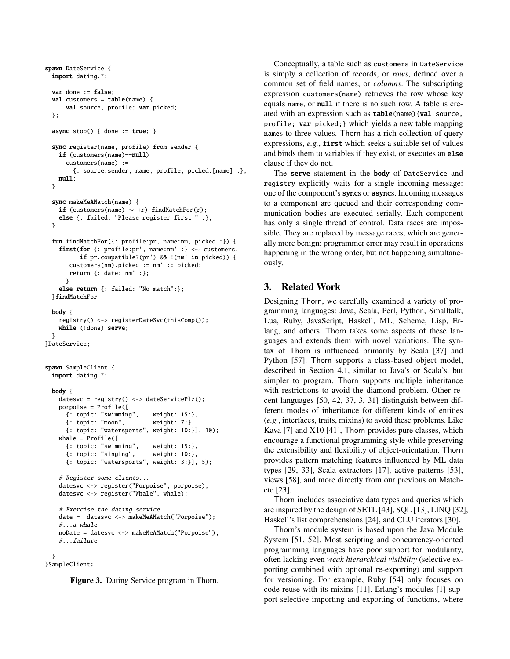```
spawn DateService {
 import dating.*;
 var done := false;
 val customers = table(name) {
      val source, profile; var picked;
 };
 async stop() \{ done := true; \}sync register(name, profile) from sender {
   if (customers(name)==null)
      customers(name) :=
        {: source:sender, name, profile, picked:[name] :};
   null;
 }
 sync makeMeAMatch(name) {
   if (customers(name) ∼ +r) findMatchFor(r);
   else {: failed: "Please register first!" :};
 }
 fun findMatchFor({: profile:pr, name:nm, picked :}) {
   first(for {: profile:pr', name:nm' :} <∼ customers,
         if pr.compatible?(pr') && !(nm' in picked)) {
       customers(nm).picked := nm' :: picked;
      return {: date: nm' :};
      }
   else return {: failed: "No match":};
 }findMatchFor
 body {
   registry() <-> registerDateSvc(thisComp());
   while (!done) serve:
 }
}DateService;
spawn SampleClient {
 import dating.*;
 body {
   datesvc = registry() <-> dateServicePlz();
   porpoise = Profile([
      {: topic: "swimming", weight: 15:},
      {: topic: "moon", weight: 7:},
      {: topic: "watersports", weight: 10:}], 10);
   whale = Profile([
      {: topic: "swimming", weight: 15:},
      {: topic: "singing", weight: 10:},
      {: topic: "watersports", weight: 3:}], 5);
   # Register some clients...
   datesvc <-> register("Porpoise", porpoise);
   datesvc <-> register("Whale", whale);
    # Exercise the dating service.
   date = datesvc <-> makeMeAMatch("Porpoise");
   #...a whale
   noDate = datesvc <-> makeMeAMatch("Porpoise");
   #...failure
 }
}SampleClient;
```
Figure 3. Dating Service program in Thorn.

Conceptually, a table such as customers in DateService is simply a collection of records, or *rows*, defined over a common set of field names, or *columns*. The subscripting expression customers(name) retrieves the row whose key equals name, or null if there is no such row. A table is created with an expression such as table(name){val source, profile; var picked;} which yields a new table mapping names to three values. Thorn has a rich collection of query expressions, *e.g.*, first which seeks a suitable set of values and binds them to variables if they exist, or executes an else clause if they do not.

The serve statement in the body of DateService and registry explicitly waits for a single incoming message: one of the component's syncs or asyncs. Incoming messages to a component are queued and their corresponding communication bodies are executed serially. Each component has only a single thread of control. Data races are impossible. They are replaced by message races, which are generally more benign: programmer error may result in operations happening in the wrong order, but not happening simultaneously.

### 3. Related Work

Designing Thorn, we carefully examined a variety of programming languages: Java, Scala, Perl, Python, Smalltalk, Lua, Ruby, JavaScript, Haskell, ML, Scheme, Lisp, Erlang, and others. Thorn takes some aspects of these languages and extends them with novel variations. The syntax of Thorn is influenced primarily by Scala [37] and Python [57]. Thorn supports a class-based object model, described in Section 4.1, similar to Java's or Scala's, but simpler to program. Thorn supports multiple inheritance with restrictions to avoid the diamond problem. Other recent languages [50, 42, 37, 3, 31] distinguish between different modes of inheritance for different kinds of entities (*e.g.*, interfaces, traits, mixins) to avoid these problems. Like Kava [7] and X10 [41], Thorn provides pure classes, which encourage a functional programming style while preserving the extensibility and flexibility of object-orientation. Thorn provides pattern matching features influenced by ML data types [29, 33], Scala extractors [17], active patterns [53], views [58], and more directly from our previous on Matchete [23].

Thorn includes associative data types and queries which are inspired by the design of SETL [43], SQL [13], LINQ [32], Haskell's list comprehensions [24], and CLU iterators [30].

Thorn's module system is based upon the Java Module System [51, 52]. Most scripting and concurrency-oriented programming languages have poor support for modularity, often lacking even *weak hierarchical visibility* (selective exporting combined with optional re-exporting) and support for versioning. For example, Ruby [54] only focuses on code reuse with its mixins [11]. Erlang's modules [1] support selective importing and exporting of functions, where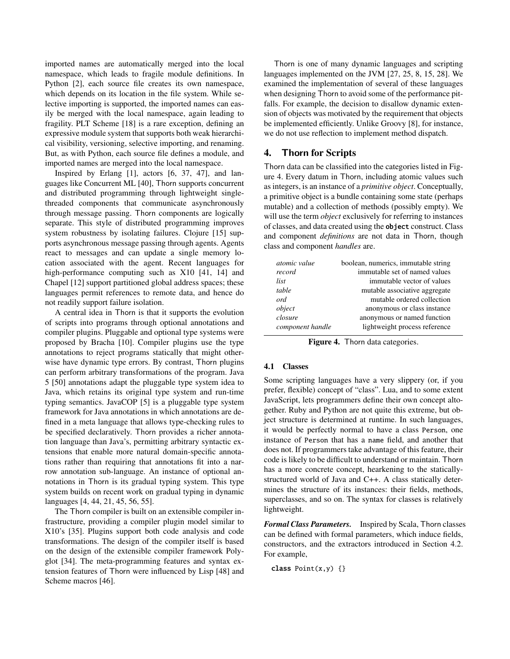imported names are automatically merged into the local namespace, which leads to fragile module definitions. In Python [2], each source file creates its own namespace, which depends on its location in the file system. While selective importing is supported, the imported names can easily be merged with the local namespace, again leading to fragility. PLT Scheme [18] is a rare exception, defining an expressive module system that supports both weak hierarchical visibility, versioning, selective importing, and renaming. But, as with Python, each source file defines a module, and imported names are merged into the local namespace.

Inspired by Erlang [1], actors [6, 37, 47], and languages like Concurrent ML [40], Thorn supports concurrent and distributed programming through lightweight singlethreaded components that communicate asynchronously through message passing. Thorn components are logically separate. This style of distributed programming improves system robustness by isolating failures. Clojure [15] supports asynchronous message passing through agents. Agents react to messages and can update a single memory location associated with the agent. Recent languages for high-performance computing such as X10 [41, 14] and Chapel [12] support partitioned global address spaces; these languages permit references to remote data, and hence do not readily support failure isolation.

A central idea in Thorn is that it supports the evolution of scripts into programs through optional annotations and compiler plugins. Pluggable and optional type systems were proposed by Bracha [10]. Compiler plugins use the type annotations to reject programs statically that might otherwise have dynamic type errors. By contrast, Thorn plugins can perform arbitrary transformations of the program. Java 5 [50] annotations adapt the pluggable type system idea to Java, which retains its original type system and run-time typing semantics. JavaCOP [5] is a pluggable type system framework for Java annotations in which annotations are defined in a meta language that allows type-checking rules to be specified declaratively. Thorn provides a richer annotation language than Java's, permitting arbitrary syntactic extensions that enable more natural domain-specific annotations rather than requiring that annotations fit into a narrow annotation sub-language. An instance of optional annotations in Thorn is its gradual typing system. This type system builds on recent work on gradual typing in dynamic languages [4, 44, 21, 45, 56, 55].

The Thorn compiler is built on an extensible compiler infrastructure, providing a compiler plugin model similar to X10's [35]. Plugins support both code analysis and code transformations. The design of the compiler itself is based on the design of the extensible compiler framework Polyglot [34]. The meta-programming features and syntax extension features of Thorn were influenced by Lisp [48] and Scheme macros [46].

Thorn is one of many dynamic languages and scripting languages implemented on the JVM [27, 25, 8, 15, 28]. We examined the implementation of several of these languages when designing Thorn to avoid some of the performance pitfalls. For example, the decision to disallow dynamic extension of objects was motivated by the requirement that objects be implemented efficiently. Unlike Groovy [8], for instance, we do not use reflection to implement method dispatch.

## 4. Thorn for Scripts

Thorn data can be classified into the categories listed in Figure 4. Every datum in Thorn, including atomic values such as integers, is an instance of a *primitive object*. Conceptually, a primitive object is a bundle containing some state (perhaps mutable) and a collection of methods (possibly empty). We will use the term *object* exclusively for referring to instances of classes, and data created using the object construct. Class and component *definitions* are not data in Thorn, though class and component *handles* are.

| atomic value     | boolean, numerics, immutable string |
|------------------|-------------------------------------|
| record           | immutable set of named values       |
| list             | immutable vector of values          |
| table            | mutable associative aggregate       |
| ord              | mutable ordered collection          |
| object           | anonymous or class instance         |
| closure          | anonymous or named function         |
| component handle | lightweight process reference       |

Figure 4. Thorn data categories.

### 4.1 Classes

Some scripting languages have a very slippery (or, if you prefer, flexible) concept of "class". Lua, and to some extent JavaScript, lets programmers define their own concept altogether. Ruby and Python are not quite this extreme, but object structure is determined at runtime. In such languages, it would be perfectly normal to have a class Person, one instance of Person that has a name field, and another that does not. If programmers take advantage of this feature, their code is likely to be difficult to understand or maintain. Thorn has a more concrete concept, hearkening to the staticallystructured world of Java and C++. A class statically determines the structure of its instances: their fields, methods, superclasses, and so on. The syntax for classes is relatively lightweight.

*Formal Class Parameters.* Inspired by Scala, Thorn classes can be defined with formal parameters, which induce fields, constructors, and the extractors introduced in Section 4.2. For example,

class  $Point(x, y)$  {}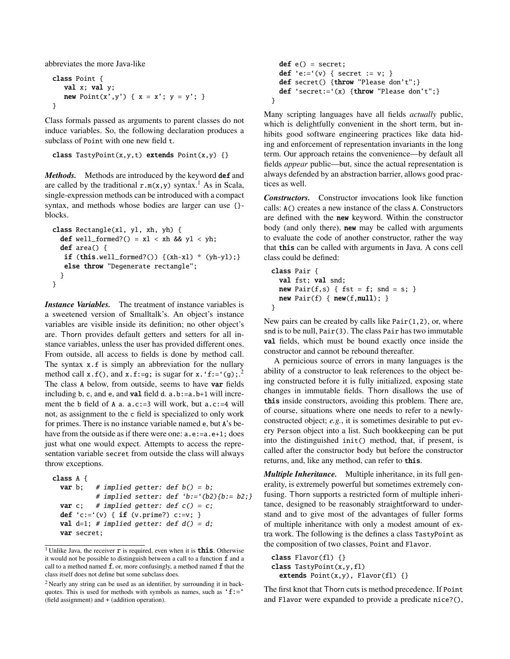abbreviates the more Java-like

```
class Point {
   val x; val y;
   new Point(x',y') { x = x'; y = y'; }
}
```
Class formals passed as arguments to parent classes do not induce variables. So, the following declaration produces a subclass of Point with one new field t.

```
class TastyPoint(x,y,t) extends Point(x,y) {}
```
*Methods.* Methods are introduced by the keyword def and are called by the traditional  $r.m(x,y)$  syntax.<sup>1</sup> As in Scala, single-expression methods can be introduced with a compact syntax, and methods whose bodies are larger can use {} blocks.

```
class Rectangle(xl, yl, xh, yh) {
  def well_formed?() = x1 < xh & y1 < yh;
  def area() {
   if (this.well_formed?()) \{(xh-xl) * (yh-yl);
   else throw "Degenerate rectangle";
  }
}
```
*Instance Variables.* The treatment of instance variables is a sweetened version of Smalltalk's. An object's instance variables are visible inside its definition; no other object's are. Thorn provides default getters and setters for all instance variables, unless the user has provided different ones. From outside, all access to fields is done by method call. The syntax x.f is simply an abbreviation for the nullary method call  $x.f()$ , and  $x.f:=g$ ; is sugar for  $x.'f:='(g)$ ;<sup>2</sup> The class A below, from outside, seems to have var fields including b, c, and e, and val field d.  $a.b:=a.b+1$  will increment the b field of A a. a.c:=3 will work, but  $a.c:=4$  will not, as assignment to the c field is specialized to only work for primes. There is no instance variable named e, but A's behave from the outside as if there were one:  $a.e:=a.e+1$ ; does just what one would expect. Attempts to access the representation variable secret from outside the class will always throw exceptions.

```
class A {
 var b; # implied getter: def b() = b;
          # implied setter: def 'b:='(b2){b:= b2;}
 var c; # implied getter: def c() = c;
 def 'c:='(v) { if (v.prime?) c:=v; }
 val d=1; # implied getter: def d() = d;
 var secret;
```

```
def e() = secret;def 'e:='(v) { secret := v; }
 def secret() {throw "Please don't";}
 def 'secret:='(x) {throw "Please don't";}
}
```
Many scripting languages have all fields *actually* public, which is delightfully convenient in the short term, but inhibits good software engineering practices like data hiding and enforcement of representation invariants in the long term. Our approach retains the convenience—by default all fields *appear* public—but, since the actual representation is always defended by an abstraction barrier, allows good practices as well.

*Constructors.* Constructor invocations look like function calls: A() creates a new instance of the class A. Constructors are defined with the new keyword. Within the constructor body (and only there), new may be called with arguments to evaluate the code of another constructor, rather the way that this can be called with arguments in Java. A cons cell class could be defined:

```
class Pair {
  val fst; val snd;
  new Pair(f, s) \{ \text{fst} = f; \text{snd} = s; \}new Pair(f) \{ new(f, null); \}}
```
New pairs can be created by calls like  $Pair(1,2)$ , or, where snd is to be null, Pair(3). The class Pair has two immutable val fields, which must be bound exactly once inside the constructor and cannot be rebound thereafter.

A pernicious source of errors in many languages is the ability of a constructor to leak references to the object being constructed before it is fully initialized, exposing state changes in immutable fields. Thorn disallows the use of this inside constructors, avoiding this problem. There are, of course, situations where one needs to refer to a newlyconstructed object; *e.g.*, it is sometimes desirable to put every Person object into a list. Such bookkeeping can be put into the distinguished init() method, that, if present, is called after the constructor body but before the constructor returns, and, like any method, can refer to this.

*Multiple Inheritance.* Multiple inheritance, in its full generality, is extremely powerful but sometimes extremely confusing. Thorn supports a restricted form of multiple inheritance, designed to be reasonably straightforward to understand and to give most of the advantages of fuller forms of multiple inheritance with only a modest amount of extra work. The following is the defines a class TastyPoint as the composition of two classes, Point and Flavor.

```
class Flavor(fl) {}
class TastyPoint(x,y,fl)
  extends Point(x,y), Flavor(f1) {}
```
The first knot that Thorn cuts is method precedence. If Point and Flavor were expanded to provide a predicate nice?(),

<sup>&</sup>lt;sup>1</sup> Unlike Java, the receiver  $\mathbf r$  is required, even when it is **this**. Otherwise it would not be possible to distinguish between a call to a function  $f$  and a call to a method named  $f$ , or, more confusingly, a method named  $f$  that the class itself does not define but some subclass does.

<sup>&</sup>lt;sup>2</sup> Nearly any string can be used as an identifier, by surrounding it in backquotes. This is used for methods with symbols as names, such as  $f:=$ (field assignment) and + (addition operation).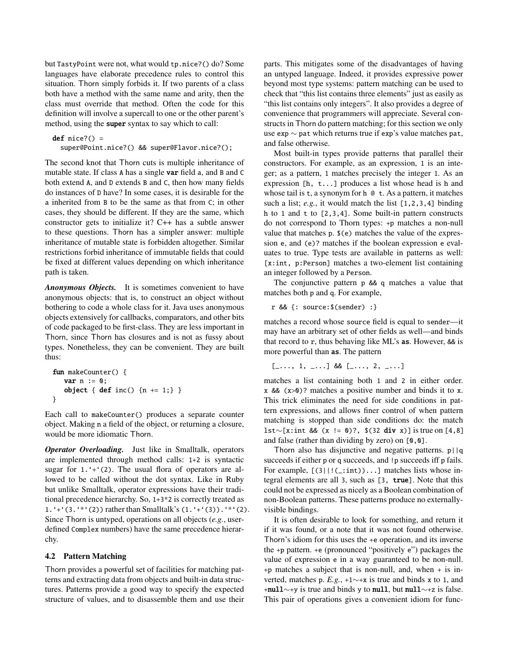but TastyPoint were not, what would tp.nice?() do? Some languages have elaborate precedence rules to control this situation. Thorn simply forbids it. If two parents of a class both have a method with the same name and arity, then the class must override that method. Often the code for this definition will involve a supercall to one or the other parent's method, using the super syntax to say which to call:

```
def nice?() =
  super@Point.nice?() && super@Flavor.nice?();
```
The second knot that Thorn cuts is multiple inheritance of mutable state. If class A has a single var field a, and B and C both extend A, and D extends B and C, then how many fields do instances of D have? In some cases, it is desirable for the a inherited from B to be the same as that from C; in other cases, they should be different. If they are the same, which constructor gets to initialize it? C++ has a subtle answer to these questions. Thorn has a simpler answer: multiple inheritance of mutable state is forbidden altogether. Similar restrictions forbid inheritance of immutable fields that could be fixed at different values depending on which inheritance path is taken.

*Anonymous Objects.* It is sometimes convenient to have anonymous objects: that is, to construct an object without bothering to code a whole class for it. Java uses anonymous objects extensively for callbacks, comparators, and other bits of code packaged to be first-class. They are less important in Thorn, since Thorn has closures and is not as fussy about types. Nonetheless, they can be convenient. They are built thus:

```
fun makeCounter() {
   var n := 0;
   object { def inc() {n \neq 1; } }
}
```
Each call to makeCounter() produces a separate counter object. Making n a field of the object, or returning a closure, would be more idiomatic Thorn.

*Operator Overloading.* Just like in Smalltalk, operators are implemented through method calls: 1+2 is syntactic sugar for  $1.'+'(2)$ . The usual flora of operators are allowed to be called without the dot syntax. Like in Ruby but unlike Smalltalk, operator expressions have their traditional precedence hierarchy. So, 1+3\*2 is correctly treated as 1.'+'(3.'\*'(2)) rather than Smalltalk's (1.'+'(3)).'\*'(2). Since Thorn is untyped, operations on all objects (*e.g.*, userdefined Complex numbers) have the same precedence hierarchy.

### 4.2 Pattern Matching

Thorn provides a powerful set of facilities for matching patterns and extracting data from objects and built-in data structures. Patterns provide a good way to specify the expected structure of values, and to disassemble them and use their parts. This mitigates some of the disadvantages of having an untyped language. Indeed, it provides expressive power beyond most type systems: pattern matching can be used to check that "this list contains three elements" just as easily as "this list contains only integers". It also provides a degree of convenience that programmers will appreciate. Several constructs in Thorn do pattern matching; for this section we only use exp ∼ pat which returns true if exp's value matches pat, and false otherwise.

Most built-in types provide patterns that parallel their constructors. For example, as an expression, 1 is an integer; as a pattern, 1 matches precisely the integer 1. As an expression [h, t...] produces a list whose head is h and whose tail is t, a synonym for h  $\alpha$  t. As a pattern, it matches such a list; *e.g.*, it would match the list [1,2,3,4] binding h to 1 and t to [2,3,4]. Some built-in pattern constructs do not correspond to Thorn types: +p matches a non-null value that matches p. \$(e) matches the value of the expression e, and (e)? matches if the boolean expression e evaluates to true. Type tests are available in patterns as well: [x:int, p:Person] matches a two-element list containing an integer followed by a Person.

The conjunctive pattern p && q matches a value that matches both p and q. For example,

```
r && {: source:$(sender) :}
```
matches a record whose source field is equal to sender—it may have an arbitrary set of other fields as well—and binds that record to r, thus behaving like ML's as. However, && is more powerful than as. The pattern

```
[-\ldots, 1, \ldots] & [-\ldots, 2, \ldots]
```
matches a list containing both 1 and 2 in either order. x && (x>0)? matches a positive number and binds it to x. This trick eliminates the need for side conditions in pattern expressions, and allows finer control of when pattern matching is stopped than side conditions do: the match lst∼[x:int && (x != 0)?, \$(32 div x)] is true on [4,8] and false (rather than dividing by zero) on [0,0].

Thorn also has disjunctive and negative patterns. p||q succeeds if either p or q succeeds, and !p succeeds iff p fails. For example,  $[(3||!(-:int))...]$  matches lists whose integral elements are all 3, such as [3, true]. Note that this could not be expressed as nicely as a Boolean combination of non-Boolean patterns. These patterns produce no externallyvisible bindings.

It is often desirable to look for something, and return it if it was found, or a note that it was not found otherwise. Thorn's idiom for this uses the +e operation, and its inverse the +p pattern. +e (pronounced "positively e") packages the value of expression e in a way guaranteed to be non-null. +p matches a subject that is non-null, and, when + is inverted, matches p. *E.g.*, +1∼+x is true and binds x to 1, and +null∼+y is true and binds y to null, but null∼+z is false. This pair of operations gives a convenient idiom for func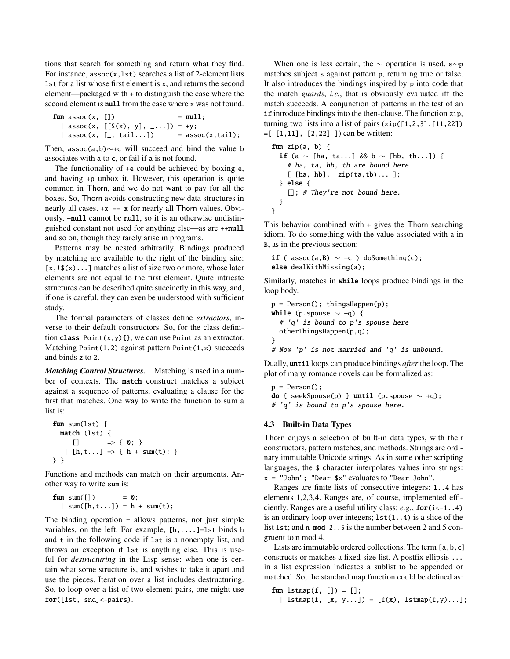tions that search for something and return what they find. For instance,  $assoc(x,1st)$  searches a list of 2-element lists lst for a list whose first element is x, and returns the second element—packaged with + to distinguish the case where the second element is null from the case where x was not found.

```
fun assoc(x, \lceil] = null:
 | assoc(x, [[$(x), y], _...]) = +y;
 \vert assoc(x, [, tail...]) = assoc(x,tail);
```
Then, assoc(a,b)∼+c will succeed and bind the value b associates with a to c, or fail if a is not found.

The functionality of +e could be achieved by boxing e, and having +p unbox it. However, this operation is quite common in Thorn, and we do not want to pay for all the boxes. So, Thorn avoids constructing new data structures in nearly all cases.  $+x == x$  for nearly all Thorn values. Obviously, +null cannot be null, so it is an otherwise undistinguished constant not used for anything else—as are ++null and so on, though they rarely arise in programs.

Patterns may be nested arbitrarily. Bindings produced by matching are available to the right of the binding site:  $[x, !\$ (x) \dots] matches a list of size two or more, whose later elements are not equal to the first element. Quite intricate structures can be described quite succinctly in this way, and, if one is careful, they can even be understood with sufficient study.

The formal parameters of classes define *extractors*, inverse to their default constructors. So, for the class definition class  $Point(x, y)$  { }, we can use Point as an extractor. Matching Point(1,2) against pattern Point(1,z) succeeds and binds z to 2.

*Matching Control Structures.* Matching is used in a number of contexts. The match construct matches a subject against a sequence of patterns, evaluating a clause for the first that matches. One way to write the function to sum a list is:

```
fun sum(lst) {
  match (lst) { }[] \implies { 0; }
   | [h, t...] => { h + sum(t); }
} }
```
Functions and methods can match on their arguments. Another way to write sum is:

```
fun sum([]) = 0;
  | sum([h, t...]) = h + sum(t);
```
The binding operation = allows patterns, not just simple variables, on the left. For example, [h,t...]=lst binds h and t in the following code if lst is a nonempty list, and throws an exception if lst is anything else. This is useful for *destructuring* in the Lisp sense: when one is certain what some structure is, and wishes to take it apart and use the pieces. Iteration over a list includes destructuring. So, to loop over a list of two-element pairs, one might use for([fst, snd]<-pairs).

When one is less certain, the  $\sim$  operation is used. s∼p matches subject s against pattern p, returning true or false. It also introduces the bindings inspired by p into code that the match *guards*, *i.e.*, that is obviously evaluated iff the match succeeds. A conjunction of patterns in the test of an if introduce bindings into the then-clause. The function zip, turning two lists into a list of pairs  $(zip([1,2,3],[11,22])$  $=[ [1, 11], [2, 22] ]$  can be written:

```
fun zip(a, b) {
  if (a \sim [ha, ta...] && b \sim [hb, tb...]) {
    # ha, ta, hb, tb are bound here
    [ [ha, hb], zip(ta,tb)... ];
  } else {
    []; # They're not bound here.
  }
}
```
This behavior combined with  $+$  gives the Thorn searching idiom. To do something with the value associated with a in B, as in the previous section:

```
if ( assoc(a,B) \sim +c ) doSomething(c);
else dealWithMissing(a);
```
Similarly, matches in while loops produce bindings in the loop body.

```
p = Person(); thingsHappen(p);
while (p.spouse ∼ +q) {
  # 'q' is bound to p's spouse here
  otherThingsHappen(p,q);
}
# Now 'p' is not married and 'q' is unbound.
```
Dually, until loops can produce bindings *after* the loop. The plot of many romance novels can be formalized as:

```
p = Person();
do { seekSpouse(p) } until (p.spouse ∼ +q);
# 'q' is bound to p's spouse here.
```
#### 4.3 Built-in Data Types

Thorn enjoys a selection of built-in data types, with their constructors, pattern matches, and methods. Strings are ordinary immutable Unicode strings. As in some other scripting languages, the \$ character interpolates values into strings: x = "John"; "Dear \$x" evaluates to "Dear John".

Ranges are finite lists of consecutive integers: 1..4 has elements 1,2,3,4. Ranges are, of course, implemented efficiently. Ranges are a useful utility class:  $e.g.,$  for  $(i < -1..4)$ is an ordinary loop over integers; lst(1..4) is a slice of the list 1st; and n mod 2..5 is the number between 2 and 5 congruent to n mod 4.

Lists are immutable ordered collections. The term [a,b,c] constructs or matches a fixed-size list. A postfix ellipsis ... in a list expression indicates a sublist to be appended or matched. So, the standard map function could be defined as:

fun  $lstmap(f, [] = []$ ; | lstmap(f, [x, y...]) = [f(x), lstmap(f,y)...];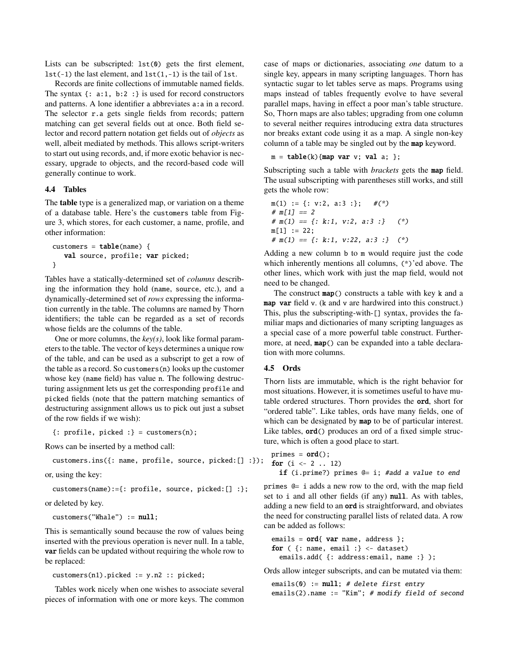Lists can be subscripted: lst(0) gets the first element, lst(-1) the last element, and lst(1,-1) is the tail of lst.

Records are finite collections of immutable named fields. The syntax  $\{: a: 1, b: 2 : \}$  is used for record constructors and patterns. A lone identifier a abbreviates a:a in a record. The selector r.a gets single fields from records; pattern matching can get several fields out at once. Both field selector and record pattern notation get fields out of *objects* as well, albeit mediated by methods. This allows script-writers to start out using records, and, if more exotic behavior is necessary, upgrade to objects, and the record-based code will generally continue to work.

### 4.4 Tables

The table type is a generalized map, or variation on a theme of a database table. Here's the customers table from Figure 3, which stores, for each customer, a name, profile, and other information:

```
cuts = table(name) { }val source, profile; var picked;
}
```
Tables have a statically-determined set of *columns* describing the information they hold (name, source, etc.), and a dynamically-determined set of *rows* expressing the information currently in the table. The columns are named by Thorn identifiers; the table can be regarded as a set of records whose fields are the columns of the table.

One or more columns, the *key(s)*, look like formal parameters to the table. The vector of keys determines a unique row of the table, and can be used as a subscript to get a row of the table as a record. So customers(n) looks up the customer whose key (name field) has value n. The following destructuring assignment lets us get the corresponding profile and picked fields (note that the pattern matching semantics of destructuring assignment allows us to pick out just a subset of the row fields if we wish):

 $\{: profile, picked :} = customers(n);$ 

Rows can be inserted by a method call:

```
customers.ins({: name, profile, source, picked:[] :});
```
or, using the key:

customers(name):={: profile, source, picked:[] :};

or deleted by key.

customers("Whale") := null;

This is semantically sound because the row of values being inserted with the previous operation is never null. In a table, var fields can be updated without requiring the whole row to be replaced:

customers(n1).picked := y.n2 :: picked;

Tables work nicely when one wishes to associate several pieces of information with one or more keys. The common case of maps or dictionaries, associating *one* datum to a single key, appears in many scripting languages. Thorn has syntactic sugar to let tables serve as maps. Programs using maps instead of tables frequently evolve to have several parallel maps, having in effect a poor man's table structure. So, Thorn maps are also tables; upgrading from one column to several neither requires introducing extra data structures nor breaks extant code using it as a map. A single non-key column of a table may be singled out by the map keyword.

```
m = table(k){map var v; val a; };
```
Subscripting such a table with *brackets* gets the map field. The usual subscripting with parentheses still works, and still gets the whole row:

$$
m(1) := \{ : v:2, a:3 : \}; \quad #(*)
$$
  
\n
$$
# m[1] == 2
$$
  
\n
$$
# m(1) == \{ : k:1, v:2, a:3 : \} \quad (*)
$$
  
\n
$$
m[1] := 22;
$$
  
\n
$$
# m(1) == \{ : k:1, v:22, a:3 : \} \quad (*)
$$

Adding a new column b to m would require just the code which inherently mentions all columns, (\*)'ed above. The other lines, which work with just the map field, would not need to be changed.

The construct map() constructs a table with key k and a map var field v. (k and v are hardwired into this construct.) This, plus the subscripting-with-[] syntax, provides the familiar maps and dictionaries of many scripting languages as a special case of a more powerful table construct. Furthermore, at need,  $map()$  can be expanded into a table declaration with more columns.

#### 4.5 Ords

Thorn lists are immutable, which is the right behavior for most situations. However, it is sometimes useful to have mutable ordered structures. Thorn provides the ord, short for "ordered table". Like tables, ords have many fields, one of which can be designated by map to be of particular interest. Like tables,  $\text{ord}()$  produces an ord of a fixed simple structure, which is often a good place to start.

```
primes = ord();
for (i \le 2 ... 12)if (i.prime?) primes @= i; #add a value to end
```
primes @= i adds a new row to the ord, with the map field set to i and all other fields (if any) null. As with tables, adding a new field to an ord is straightforward, and obviates the need for constructing parallel lists of related data. A row can be added as follows:

```
emails = ord{ var name, address };for (\{: name, email :\} <- dataset)
 emails.add( {: address:email, name :} );
```
Ords allow integer subscripts, and can be mutated via them:

```
emails(0) := null; # delete first entryemails(2).name := "Kim"; # modify field of second
```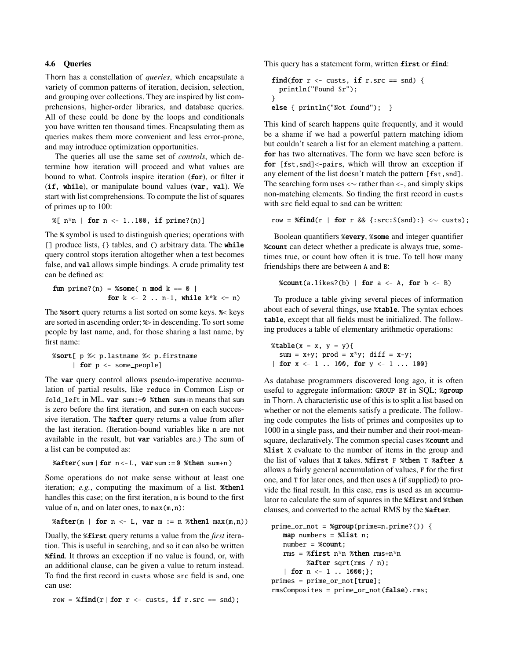#### 4.6 Queries

Thorn has a constellation of *queries*, which encapsulate a variety of common patterns of iteration, decision, selection, and grouping over collections. They are inspired by list comprehensions, higher-order libraries, and database queries. All of these could be done by the loops and conditionals you have written ten thousand times. Encapsulating them as queries makes them more convenient and less error-prone, and may introduce optimization opportunities.

The queries all use the same set of *controls*, which determine how iteration will proceed and what values are bound to what. Controls inspire iteration (for), or filter it (if, while), or manipulate bound values (var, val). We start with list comprehensions. To compute the list of squares of primes up to 100:

```
%[ n*n | for n <- 1..100, if prime?(n)]
```
The % symbol is used to distinguish queries; operations with [] produce lists, {} tables, and () arbitrary data. The while query control stops iteration altogether when a test becomes false, and val allows simple bindings. A crude primality test can be defined as:

```
fun prime?(n) = %some( n mod k == 0 |
               for k \leq 2 .. n-1, while k*k \leq n)
```
The %sort query returns a list sorted on some keys. %< keys are sorted in ascending order; %> in descending. To sort some people by last name, and, for those sharing a last name, by first name:

%sort[ p %< p.lastname %< p.firstname | for p <- some\_people]

The **var** query control allows pseudo-imperative accumulation of partial results, like reduce in Common Lisp or fold\_left in ML. var sum:=0 %then sum+n means that sum is zero before the first iteration, and sum+n on each successive iteration. The %after query returns a value from after the last iteration. (Iteration-bound variables like n are not available in the result, but var variables are.) The sum of a list can be computed as:

%after( $sum \mid for \mid n \leq L$ ,  $var sum := 0$  %then sum+n)

Some operations do not make sense without at least one iteration; *e.g.*, computing the maximum of a list. **\*then1** handles this case; on the first iteration, m is bound to the first value of n, and on later ones, to  $max(m, n)$ :

```
%after(m | for n \leq L, var m := n %then1 max(m,n))
```
Dually, the %first query returns a value from the *first* iteration. This is useful in searching, and so it can also be written %find. It throws an exception if no value is found, or, with an additional clause, can be given a value to return instead. To find the first record in custs whose src field is snd, one can use:

row =  $%find(r | for r <- cuts, if r.src == snd);$ 

This query has a statement form, written first or find:

```
find(for r \leq -custs, if r.src == snd) {
  println("Found $r");
}
else { println("Not found"); }
```
This kind of search happens quite frequently, and it would be a shame if we had a powerful pattern matching idiom but couldn't search a list for an element matching a pattern. for has two alternatives. The form we have seen before is for [fst, snd]<-pairs, which will throw an exception if any element of the list doesn't match the pattern [fst, snd]. The searching form uses  $\sim$  rather than  $\lt$ -, and simply skips non-matching elements. So finding the first record in custs with src field equal to snd can be written:

row = %find(r | for r && {:src:\$(snd):} < $\sim$  custs);

Boolean quantifiers %every, %some and integer quantifier %count can detect whether a predicate is always true, sometimes true, or count how often it is true. To tell how many friendships there are between A and B:

```
%count(a.likes?(b) | for a \leftarrow A, for b \leftarrow B)
```
To produce a table giving several pieces of information about each of several things, use %table. The syntax echoes table, except that all fields must be initialized. The following produces a table of elementary arithmetic operations:

```
%table(x = x, y = y)sum = x+y; prod = x*y; diff = x-y;
| for x \le 1 .. 100, for y \le 1 ... 100}
```
As database programmers discovered long ago, it is often useful to aggregate information: GROUP BY in SQL; %group in Thorn. A characteristic use of this is to split a list based on whether or not the elements satisfy a predicate. The following code computes the lists of primes and composites up to 1000 in a single pass, and their number and their root-meansquare, declaratively. The common special cases %count and %list X evaluate to the number of items in the group and the list of values that X takes. %first F %then T %after A allows a fairly general accumulation of values, F for the first one, and T for later ones, and then uses A (if supplied) to provide the final result. In this case, rms is used as an accumulator to calculate the sum of squares in the %first and %then clauses, and converted to the actual RMS by the %after.

```
prime_or_not = %group(prime=n.prime?()) {
  map numbers = %list n;
   number = %count;
   rms = %first n*n %then rms+n*n
         %after sqrt(rms / n);
   | for n \leftarrow 1 .. 1000;};
primes = prime_or_not[true];
rmsComposites = prime_or_not(false).rms;
```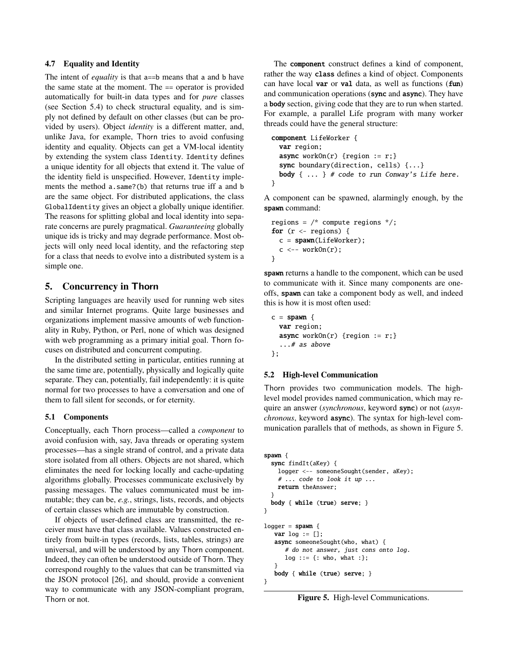#### 4.7 Equality and Identity

The intent of *equality* is that a==b means that a and b have the same state at the moment. The == operator is provided automatically for built-in data types and for *pure* classes (see Section 5.4) to check structural equality, and is simply not defined by default on other classes (but can be provided by users). Object *identity* is a different matter, and, unlike Java, for example, Thorn tries to avoid confusing identity and equality. Objects can get a VM-local identity by extending the system class Identity. Identity defines a unique identity for all objects that extend it. The value of the identity field is unspecified. However, Identity implements the method a.same?(b) that returns true iff a and b are the same object. For distributed applications, the class GlobalIdentity gives an object a globally unique identifier. The reasons for splitting global and local identity into separate concerns are purely pragmatical. *Guaranteeing* globally unique ids is tricky and may degrade performance. Most objects will only need local identity, and the refactoring step for a class that needs to evolve into a distributed system is a simple one.

# 5. Concurrency in Thorn

Scripting languages are heavily used for running web sites and similar Internet programs. Quite large businesses and organizations implement massive amounts of web functionality in Ruby, Python, or Perl, none of which was designed with web programming as a primary initial goal. Thorn focuses on distributed and concurrent computing.

In the distributed setting in particular, entities running at the same time are, potentially, physically and logically quite separate. They can, potentially, fail independently: it is quite normal for two processes to have a conversation and one of them to fall silent for seconds, or for eternity.

### 5.1 Components

Conceptually, each Thorn process—called a *component* to avoid confusion with, say, Java threads or operating system processes—has a single strand of control, and a private data store isolated from all others. Objects are not shared, which eliminates the need for locking locally and cache-updating algorithms globally. Processes communicate exclusively by passing messages. The values communicated must be immutable; they can be, *e.g.*, strings, lists, records, and objects of certain classes which are immutable by construction.

If objects of user-defined class are transmitted, the receiver must have that class available. Values constructed entirely from built-in types (records, lists, tables, strings) are universal, and will be understood by any Thorn component. Indeed, they can often be understood outside of Thorn. They correspond roughly to the values that can be transmitted via the JSON protocol [26], and should, provide a convenient way to communicate with any JSON-compliant program, Thorn or not.

The component construct defines a kind of component, rather the way class defines a kind of object. Components can have local var or val data, as well as functions (fun) and communication operations (sync and async). They have a body section, giving code that they are to run when started. For example, a parallel Life program with many worker threads could have the general structure:

```
component LifeWorker {
 var region;
 async workOn(r) {region := r;}
 sync boundary(direction, cells) {...}
 body { ... } # code to run Conway's Life here.
}
```
A component can be spawned, alarmingly enough, by the spawn command:

```
regions = /* compute regions */;
for (r \leftarrow regions) {
  c = spawn(LifeWorker);
  c \leftarrow - workOn(r);
}
```
spawn returns a handle to the component, which can be used to communicate with it. Since many components are oneoffs, spawn can take a component body as well, and indeed this is how it is most often used:

```
c = spawn {
  var region;
  async workOn(r) {region := r;}
  ...# as above
};
```
### 5.2 High-level Communication

Thorn provides two communication models. The highlevel model provides named communication, which may require an answer (*synchronous*, keyword sync) or not (*asynchronous*, keyword async). The syntax for high-level communication parallels that of methods, as shown in Figure 5.

```
spawn {
  sync findIt(aKey) {
    logger <-- someoneSought(sender, aKey);
    # ... code to look it up ...
    return theAnswer;
  }
  body { while (true) serve; }
}
logger = spawn {
   var log := [];
   async someoneSought(who, what) {
      # do not answer, just cons onto log.
      log ::= {: who, what :};
   }
   body { while (true) serve; }
}
```
Figure 5. High-level Communications.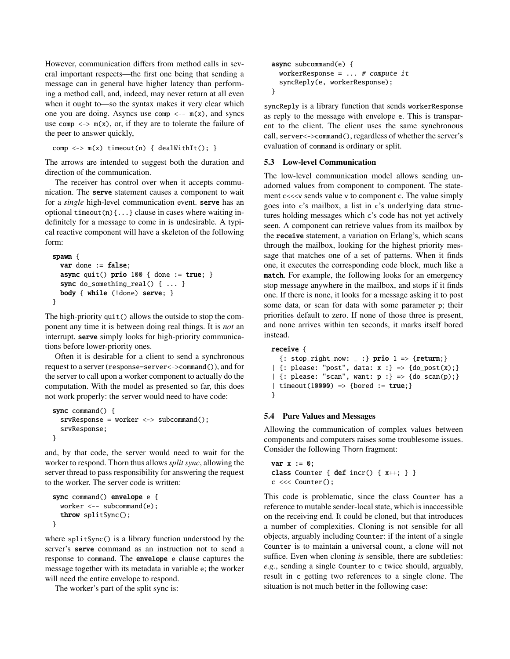However, communication differs from method calls in several important respects—the first one being that sending a message can in general have higher latency than performing a method call, and, indeed, may never return at all even when it ought to—so the syntax makes it very clear which one you are doing. Asyncs use comp  $\leq -m(x)$ , and syncs use comp  $\langle \rangle$  m(x), or, if they are to tolerate the failure of the peer to answer quickly,

```
comp \langle \rightarrow m(x) timeout(n) { dealWithIt(); }
```
The arrows are intended to suggest both the duration and direction of the communication.

The receiver has control over when it accepts communication. The serve statement causes a component to wait for a *single* high-level communication event. serve has an optional timeout  $(n)$  {...} clause in cases where waiting indefinitely for a message to come in is undesirable. A typical reactive component will have a skeleton of the following form:

```
spawn {
 var done := false;
  async quit() prio 100 { done := true; }
 sync do_something_real() { ... }
 body { while (!done) serve; }
}
```
The high-priority quit() allows the outside to stop the component any time it is between doing real things. It is *not* an interrupt. serve simply looks for high-priority communications before lower-priority ones.

Often it is desirable for a client to send a synchronous request to a server (response=server<->command()), and for the server to call upon a worker component to actually do the computation. With the model as presented so far, this does not work properly: the server would need to have code:

```
sync command() {
  srvResponse = worker \iff subcommand();
  srvResponse;
}
```
and, by that code, the server would need to wait for the worker to respond. Thorn thus allows *split sync*, allowing the server thread to pass responsibility for answering the request to the worker. The server code is written:

```
sync command() envelope e {
  worker \leq - subcommand(e);
  throw splitSync();
}
```
where splitSync() is a library function understood by the server's serve command as an instruction not to send a response to command. The envelope e clause captures the message together with its metadata in variable e; the worker will need the entire envelope to respond.

The worker's part of the split sync is:

```
async subcommand(e) {
 workerResponse = ... # compute it
  syncReply(e, workerResponse);
}
```
syncReply is a library function that sends workerResponse as reply to the message with envelope e. This is transparent to the client. The client uses the same synchronous call, server<->command(), regardless of whether the server's evaluation of command is ordinary or split.

# 5.3 Low-level Communication

The low-level communication model allows sending unadorned values from component to component. The statement c<<<v sends value v to component c. The value simply goes into c's mailbox, a list in c's underlying data structures holding messages which c's code has not yet actively seen. A component can retrieve values from its mailbox by the receive statement, a variation on Erlang's, which scans through the mailbox, looking for the highest priority message that matches one of a set of patterns. When it finds one, it executes the corresponding code block, much like a match. For example, the following looks for an emergency stop message anywhere in the mailbox, and stops if it finds one. If there is none, it looks for a message asking it to post some data, or scan for data with some parameter p; their priorities default to zero. If none of those three is present, and none arrives within ten seconds, it marks itself bored instead.

```
receive {
  \{: stop\_right\_now: \_ : \} prio 1 \Rightarrow \{return; \}| \{ : \text{ please: "post", data: x :} \Rightarrow \{ do\_post(x) ;} \}| {: please: "scan", want: p :} => {do_scan(p);}
| timeout(10000) => {bored := true;}
}
```
### 5.4 Pure Values and Messages

Allowing the communication of complex values between components and computers raises some troublesome issues. Consider the following Thorn fragment:

```
var x := 0;
class Counter { def incr() { x++; } }
c \ll \text{Counter}();
```
This code is problematic, since the class Counter has a reference to mutable sender-local state, which is inaccessible on the receiving end. It could be cloned, but that introduces a number of complexities. Cloning is not sensible for all objects, arguably including Counter: if the intent of a single Counter is to maintain a universal count, a clone will not suffice. Even when cloning *is* sensible, there are subtleties: *e.g.*, sending a single Counter to c twice should, arguably, result in c getting two references to a single clone. The situation is not much better in the following case: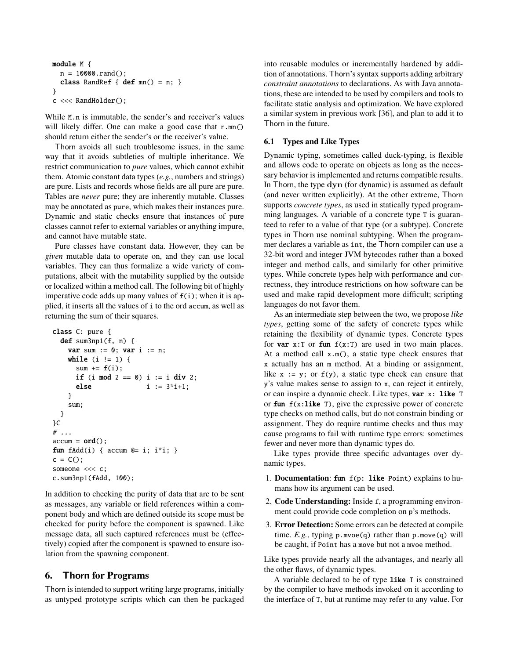```
module M {
  n = 10000.\text{rand}();class RandRef { def \, mn() = n; }
}
c <<< RandHolder();
```
While M.n is immutable, the sender's and receiver's values will likely differ. One can make a good case that  $r.mn()$ should return either the sender's or the receiver's value.

Thorn avoids all such troublesome issues, in the same way that it avoids subtleties of multiple inheritance. We restrict communication to *pure* values, which cannot exhibit them. Atomic constant data types (*e.g.*, numbers and strings) are pure. Lists and records whose fields are all pure are pure. Tables are *never* pure; they are inherently mutable. Classes may be annotated as pure, which makes their instances pure. Dynamic and static checks ensure that instances of pure classes cannot refer to external variables or anything impure, and cannot have mutable state.

Pure classes have constant data. However, they can be *given* mutable data to operate on, and they can use local variables. They can thus formalize a wide variety of computations, albeit with the mutability supplied by the outside or localized within a method call. The following bit of highly imperative code adds up many values of  $f(i)$ ; when it is applied, it inserts all the values of i to the ord accum, as well as returning the sum of their squares.

```
class C: pure {
  def sum3np1(f, n) {
    var sum := 0; var i := n;
    while (i := 1) {
      sum += f(i);if (i mod 2 == 0) i := i div 2;
      else i := 3 * i + 1:
    }
    sum;
 }
}C
# ...
\text{accum} = \text{ord}();
fun fAdd(i) { accum @= i; i * i; }
c = C();
someone <<< c;
c.sum3np1(fAdd, 100);
```
In addition to checking the purity of data that are to be sent as messages, any variable or field references within a component body and which are defined outside its scope must be checked for purity before the component is spawned. Like message data, all such captured references must be (effectively) copied after the component is spawned to ensure isolation from the spawning component.

### 6. Thorn for Programs

Thorn is intended to support writing large programs, initially as untyped prototype scripts which can then be packaged into reusable modules or incrementally hardened by addition of annotations. Thorn's syntax supports adding arbitrary *constraint annotations* to declarations. As with Java annotations, these are intended to be used by compilers and tools to facilitate static analysis and optimization. We have explored a similar system in previous work [36], and plan to add it to Thorn in the future.

### 6.1 Types and Like Types

Dynamic typing, sometimes called duck-typing, is flexible and allows code to operate on objects as long as the necessary behavior is implemented and returns compatible results. In Thorn, the type dyn (for dynamic) is assumed as default (and never written explicitly). At the other extreme, Thorn supports *concrete types*, as used in statically typed programming languages. A variable of a concrete type T is guaranteed to refer to a value of that type (or a subtype). Concrete types in Thorn use nominal subtyping. When the programmer declares a variable as int, the Thorn compiler can use a 32-bit word and integer JVM bytecodes rather than a boxed integer and method calls, and similarly for other primitive types. While concrete types help with performance and correctness, they introduce restrictions on how software can be used and make rapid development more difficult; scripting languages do not favor them.

As an intermediate step between the two, we propose *like types*, getting some of the safety of concrete types while retaining the flexibility of dynamic types. Concrete types for var  $x:T$  or fun  $f(x:T)$  are used in two main places. At a method call x.m(), a static type check ensures that x actually has an m method. At a binding or assignment, like  $x := y$ ; or  $f(y)$ , a static type check can ensure that y's value makes sense to assign to x, can reject it entirely, or can inspire a dynamic check. Like types, var x: like T or fun  $f(x:$ **like** T), give the expressive power of concrete type checks on method calls, but do not constrain binding or assignment. They do require runtime checks and thus may cause programs to fail with runtime type errors: sometimes fewer and never more than dynamic types do.

Like types provide three specific advantages over dynamic types.

- 1. Documentation: fun f(p: like Point) explains to humans how its argument can be used.
- 2. Code Understanding: Inside f, a programming environment could provide code completion on p's methods.
- 3. Error Detection: Some errors can be detected at compile time. *E.g.*, typing p.mvoe(q) rather than p.move(q) will be caught, if Point has a move but not a mvoe method.

Like types provide nearly all the advantages, and nearly all the other flaws, of dynamic types.

A variable declared to be of type like T is constrained by the compiler to have methods invoked on it according to the interface of T, but at runtime may refer to any value. For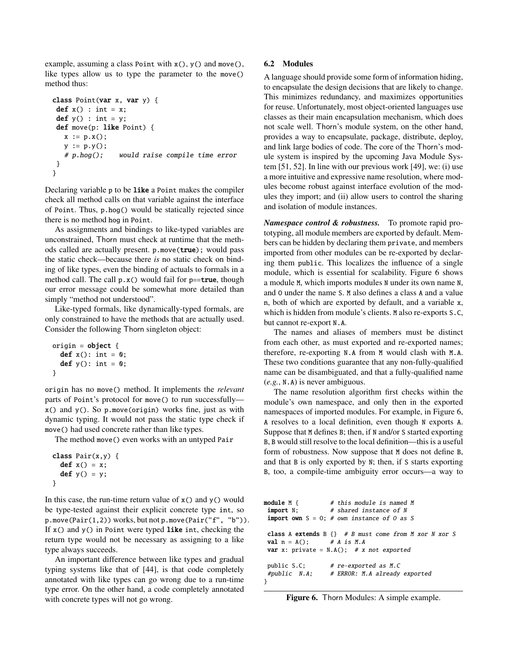example, assuming a class Point with x(), y() and move(), like types allow us to type the parameter to the move() method thus:

```
class Point(var x, var y) {
 def x() : int = x;
 def y() : int = y;
 def move(p: like Point) {
  x := p.x();y := p.y();
   # p.hog(); would raise compile time error
}
}
```
Declaring variable p to be like a Point makes the compiler check all method calls on that variable against the interface of Point. Thus, p.hog() would be statically rejected since there is no method hog in Point.

As assignments and bindings to like-typed variables are unconstrained, Thorn must check at runtime that the methods called are actually present. p.move(true); would pass the static check—because there *is* no static check on binding of like types, even the binding of actuals to formals in a method call. The call  $p.x()$  would fail for  $p=$  true, though our error message could be somewhat more detailed than simply "method not understood".

Like-typed formals, like dynamically-typed formals, are only constrained to have the methods that are actually used. Consider the following Thorn singleton object:

```
origin = object {
 def x(): int = 0;
 def y(): int = 0;
}
```
origin has no move() method. It implements the *relevant* parts of Point's protocol for move() to run successfully x() and y(). So p.move(origin) works fine, just as with dynamic typing. It would not pass the static type check if move() had used concrete rather than like types.

The method move() even works with an untyped Pair

```
class Pair(x,y) {
 def x() = x;def y() = y;}
```
In this case, the run-time return value of  $x()$  and  $y()$  would be type-tested against their explicit concrete type int, so p.move(Pair(1,2)) works, but not p.move(Pair("f", "b")). If  $x()$  and  $y()$  in Point were typed like int, checking the return type would not be necessary as assigning to a like type always succeeds.

An important difference between like types and gradual typing systems like that of [44], is that code completely annotated with like types can go wrong due to a run-time type error. On the other hand, a code completely annotated with concrete types will not go wrong.

#### 6.2 Modules

A language should provide some form of information hiding, to encapsulate the design decisions that are likely to change. This minimizes redundancy, and maximizes opportunities for reuse. Unfortunately, most object-oriented languages use classes as their main encapsulation mechanism, which does not scale well. Thorn's module system, on the other hand, provides a way to encapsulate, package, distribute, deploy, and link large bodies of code. The core of the Thorn's module system is inspired by the upcoming Java Module System [51, 52]. In line with our previous work [49], we: (i) use a more intuitive and expressive name resolution, where modules become robust against interface evolution of the modules they import; and (ii) allow users to control the sharing and isolation of module instances.

*Namespace control & robustness.* To promote rapid prototyping, all module members are exported by default. Members can be hidden by declaring them private, and members imported from other modules can be re-exported by declaring them public. This localizes the influence of a single module, which is essential for scalability. Figure 6 shows a module M, which imports modules N under its own name N, and O under the name S. M also defines a class A and a value n, both of which are exported by default, and a variable x, which is hidden from module's clients. M also re-exports S.C, but cannot re-export N.A.

The names and aliases of members must be distinct from each other, as must exported and re-exported names; therefore, re-exporting N.A from M would clash with M.A. These two conditions guarantee that any non-fully-qualified name can be disambiguated, and that a fully-qualified name (*e.g.*, N.A) is never ambiguous.

The name resolution algorithm first checks within the module's own namespace, and only then in the exported namespaces of imported modules. For example, in Figure 6, A resolves to a local definition, even though N exports A. Suppose that M defines B; then, if N and/or S started exporting B, B would still resolve to the local definition—this is a useful form of robustness. Now suppose that M does not define B, and that B is only exported by N; then, if S starts exporting B, too, a compile-time ambiguity error occurs—a way to

```
module M { # this module is named M
import N; # shared instance of N
 import own S = 0; # own instance of 0 as S
class A extends B \{ \} # B must come from M xor N xor S
val n = A(); # A is M.A
var x: private = N.A(); # x not exported
public S.C; # re-exported as M.C
#public N.A; # ERROR: M.A already exported
}
```
Figure 6. Thorn Modules: A simple example.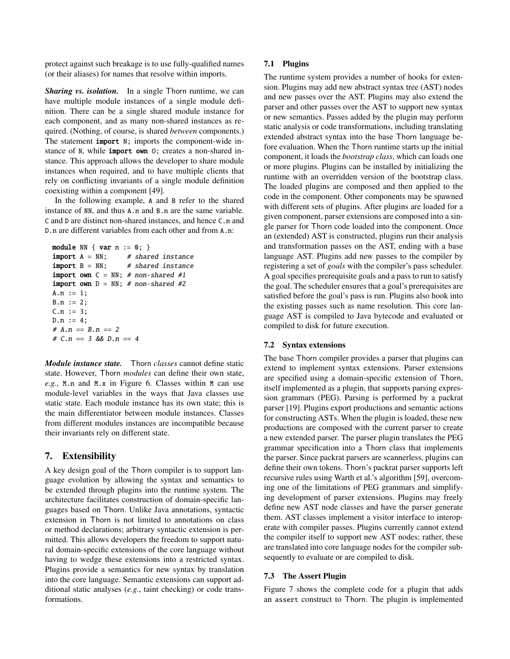protect against such breakage is to use fully-qualified names (or their aliases) for names that resolve within imports.

*Sharing vs. isolation.* In a single Thorn runtime, we can have multiple module instances of a single module definition. There can be a single shared module instance for each component, and as many non-shared instances as required. (Nothing, of course, is shared *between* components.) The statement import N; imports the component-wide instance of N, while import own O; creates a non-shared instance. This approach allows the developer to share module instances when required, and to have multiple clients that rely on conflicting invariants of a single module definition coexisting within a component [49].

In the following example, A and B refer to the shared instance of NN, and thus A.n and B.n are the same variable. C and D are distinct non-shared instances, and hence C.n and D.n are different variables from each other and from A.n:

```
module NN \{ var n := 0; \}import A = NN; # shared instance
import B = NN; # shared instance
import own C = NN; # non-shared #1
import own D = NN; # non-shared #2
A.n := 1;B.n := 2;
C.n := 3;D.n := 4;
# A.n == B.n == 2# C.n == 3 && D.n == 4
```
*Module instance state.* Thorn *classes* cannot define static state. However, Thorn *modules* can define their own state, *e.g.*, M.n and M.x in Figure 6. Classes within M can use module-level variables in the ways that Java classes use static state. Each module instance has its own state; this is the main differentiator between module instances. Classes from different modules instances are incompatible because their invariants rely on different state.

# 7. Extensibility

A key design goal of the Thorn compiler is to support language evolution by allowing the syntax and semantics to be extended through plugins into the runtime system. The architecture facilitates construction of domain-specific languages based on Thorn. Unlike Java annotations, syntactic extension in Thorn is not limited to annotations on class or method declarations; arbitrary syntactic extension is permitted. This allows developers the freedom to support natural domain-specific extensions of the core language without having to wedge these extensions into a restricted syntax. Plugins provide a semantics for new syntax by translation into the core language. Semantic extensions can support additional static analyses (*e.g.*, taint checking) or code transformations.

### 7.1 Plugins

The runtime system provides a number of hooks for extension. Plugins may add new abstract syntax tree (AST) nodes and new passes over the AST. Plugins may also extend the parser and other passes over the AST to support new syntax or new semantics. Passes added by the plugin may perform static analysis or code transformations, including translating extended abstract syntax into the base Thorn language before evaluation. When the Thorn runtime starts up the initial component, it loads the *bootstrap class*, which can loads one or more plugins. Plugins can be installed by initializing the runtime with an overridden version of the bootstrap class. The loaded plugins are composed and then applied to the code in the component. Other components may be spawned with different sets of plugins. After plugins are loaded for a given component, parser extensions are composed into a single parser for Thorn code loaded into the component. Once an (extended) AST is constructed, plugins run their analysis and transformation passes on the AST, ending with a base language AST. Plugins add new passes to the compiler by registering a set of *goals* with the compiler's pass scheduler. A goal specifies prerequisite goals and a pass to run to satisfy the goal. The scheduler ensures that a goal's prerequisites are satisfied before the goal's pass is run. Plugins also hook into the existing passes such as name resolution. This core language AST is compiled to Java bytecode and evaluated or compiled to disk for future execution.

### 7.2 Syntax extensions

The base Thorn compiler provides a parser that plugins can extend to implement syntax extensions. Parser extensions are specified using a domain-specific extension of Thorn, itself implemented as a plugin, that supports parsing expression grammars (PEG). Parsing is performed by a packrat parser [19]. Plugins export productions and semantic actions for constructing ASTs. When the plugin is loaded, these new productions are composed with the current parser to create a new extended parser. The parser plugin translates the PEG grammar specification into a Thorn class that implements the parser. Since packrat parsers are scannerless, plugins can define their own tokens. Thorn's packrat parser supports left recursive rules using Warth et al.'s algorithm [59], overcoming one of the limitations of PEG grammars and simplifying development of parser extensions. Plugins may freely define new AST node classes and have the parser generate them. AST classes implement a visitor interface to interoperate with compiler passes. Plugins currently cannot extend the compiler itself to support new AST nodes; rather, these are translated into core language nodes for the compiler subsequently to evaluate or are compiled to disk.

### 7.3 The Assert Plugin

Figure 7 shows the complete code for a plugin that adds an assert construct to Thorn. The plugin is implemented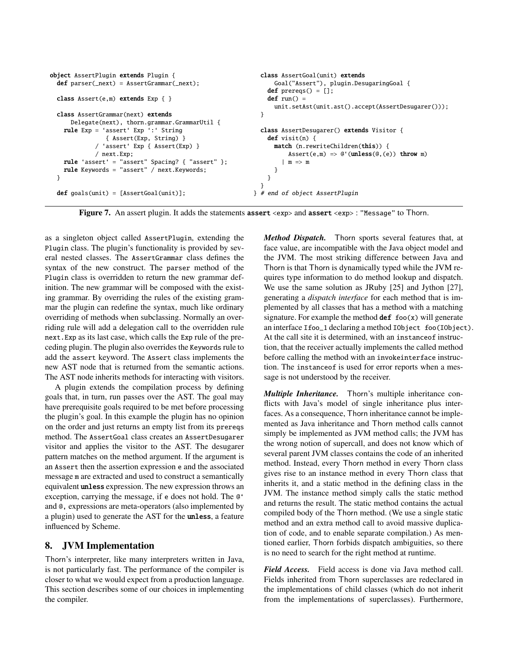```
object AssertPlugin extends Plugin {
  def parser(_next) = AssertGrammar(_next);
  class Assert(e,m) extends Exp { }
  class AssertGrammar(next) extends
     Delegate(next), thorn.grammar.GrammarUtil {
   rule Exp = 'assert' Exp ':' String
                { Assert(Exp, String) }
               / 'assert' Exp { Assert(Exp) }
             / next.Exp;
   rule 'assert' = "assert" Spacing? { "assert" };
   rule Keywords = "assert" / next.Keywords;
  }
  def goals(unit) = [AssertGoal(unit)];
                                                              class AssertGoal(unit) extends
                                                                  Goal("Assert"), plugin.DesugaringGoal {
                                                                def prereqs() = [];
                                                                def run() =unit.setAst(unit.ast().accept(AssertDesugarer()));
                                                              }
                                                              class AssertDesugarer() extends Visitor {
                                                                def visit(n) {
                                                                  match (n.rewriteChildren(this)) {
                                                                      Assert(e,m) => @ (unless(@,(e)) throw m)
                                                                    |m \Rightarrow m}
                                                                }
                                                              }
                                                            } # end of object AssertPlugin
```
Figure 7. An assert plugin. It adds the statements assert <exp> and assert <exp> : "Message" to Thorn.

as a singleton object called AssertPlugin, extending the Plugin class. The plugin's functionality is provided by several nested classes. The AssertGrammar class defines the syntax of the new construct. The parser method of the Plugin class is overridden to return the new grammar definition. The new grammar will be composed with the existing grammar. By overriding the rules of the existing grammar the plugin can redefine the syntax, much like ordinary overriding of methods when subclassing. Normally an overriding rule will add a delegation call to the overridden rule next.Exp as its last case, which calls the Exp rule of the preceding plugin. The plugin also overrides the Keywords rule to add the assert keyword. The Assert class implements the new AST node that is returned from the semantic actions. The AST node inherits methods for interacting with visitors.

A plugin extends the compilation process by defining goals that, in turn, run passes over the AST. The goal may have prerequisite goals required to be met before processing the plugin's goal. In this example the plugin has no opinion on the order and just returns an empty list from its prereqs method. The AssertGoal class creates an AssertDesugarer visitor and applies the visitor to the AST. The desugarer pattern matches on the method argument. If the argument is an Assert then the assertion expression e and the associated message m are extracted and used to construct a semantically equivalent unless expression. The new expression throws an exception, carrying the message, if e does not hold. The @' and @, expressions are meta-operators (also implemented by a plugin) used to generate the AST for the unless, a feature influenced by Scheme.

# 8. JVM Implementation

Thorn's interpreter, like many interpreters written in Java, is not particularly fast. The performance of the compiler is closer to what we would expect from a production language. This section describes some of our choices in implementing the compiler.

*Method Dispatch.* Thorn sports several features that, at face value, are incompatible with the Java object model and the JVM. The most striking difference between Java and Thorn is that Thorn is dynamically typed while the JVM requires type information to do method lookup and dispatch. We use the same solution as JRuby [25] and Jython [27], generating a *dispatch interface* for each method that is implemented by all classes that has a method with a matching signature. For example the method  $\text{def }$  foo $(x)$  will generate an interface Ifoo\_1 declaring a method IObject foo(IObject). At the call site it is determined, with an instanceof instruction, that the receiver actually implements the called method before calling the method with an invokeinterface instruction. The instanceof is used for error reports when a message is not understood by the receiver.

*Multiple Inheritance.* Thorn's multiple inheritance conflicts with Java's model of single inheritance plus interfaces. As a consequence, Thorn inheritance cannot be implemented as Java inheritance and Thorn method calls cannot simply be implemented as JVM method calls; the JVM has the wrong notion of supercall, and does not know which of several parent JVM classes contains the code of an inherited method. Instead, every Thorn method in every Thorn class gives rise to an instance method in every Thorn class that inherits it, and a static method in the defining class in the JVM. The instance method simply calls the static method and returns the result. The static method contains the actual compiled body of the Thorn method. (We use a single static method and an extra method call to avoid massive duplication of code, and to enable separate compilation.) As mentioned earlier, Thorn forbids dispatch ambiguities, so there is no need to search for the right method at runtime.

*Field Access.* Field access is done via Java method call. Fields inherited from Thorn superclasses are redeclared in the implementations of child classes (which do not inherit from the implementations of superclasses). Furthermore,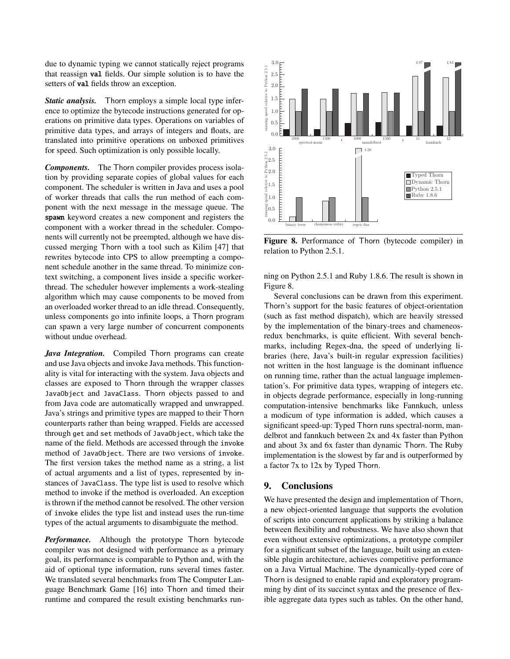due to dynamic typing we cannot statically reject programs that reassign val fields. Our simple solution is to have the setters of val fields throw an exception.

*Static analysis.* Thorn employs a simple local type inference to optimize the bytecode instructions generated for operations on primitive data types. Operations on variables of primitive data types, and arrays of integers and floats, are translated into primitive operations on unboxed primitives for speed. Such optimization is only possible locally.

*Components.* The Thorn compiler provides process isolation by providing separate copies of global values for each component. The scheduler is written in Java and uses a pool of worker threads that calls the run method of each component with the next message in the message queue. The spawn keyword creates a new component and registers the component with a worker thread in the scheduler. Components will currently not be preempted, although we have discussed merging Thorn with a tool such as Kilim [47] that rewrites bytecode into CPS to allow preempting a component schedule another in the same thread. To minimize context switching, a component lives inside a specific workerthread. The scheduler however implements a work-stealing algorithm which may cause components to be moved from an overloaded worker thread to an idle thread. Consequently, unless components go into infinite loops, a Thorn program can spawn a very large number of concurrent components without undue overhead.

*Java Integration.* Compiled Thorn programs can create and use Java objects and invoke Java methods. This functionality is vital for interacting with the system. Java objects and classes are exposed to Thorn through the wrapper classes JavaObject and JavaClass. Thorn objects passed to and from Java code are automatically wrapped and unwrapped. Java's strings and primitive types are mapped to their Thorn counterparts rather than being wrapped. Fields are accessed through get and set methods of JavaObject, which take the name of the field. Methods are accessed through the invoke method of JavaObject. There are two versions of invoke. The first version takes the method name as a string, a list of actual arguments and a list of types, represented by instances of JavaClass. The type list is used to resolve which method to invoke if the method is overloaded. An exception is thrown if the method cannot be resolved. The other version of invoke elides the type list and instead uses the run-time types of the actual arguments to disambiguate the method.

*Performance.* Although the prototype Thorn bytecode compiler was not designed with performance as a primary goal, its performance is comparable to Python and, with the aid of optional type information, runs several times faster. We translated several benchmarks from The Computer Language Benchmark Game [16] into Thorn and timed their runtime and compared the result existing benchmarks run-



Figure 8. Performance of Thorn (bytecode compiler) in relation to Python 2.5.1.

ning on Python 2.5.1 and Ruby 1.8.6. The result is shown in Figure 8.

Several conclusions can be drawn from this experiment. Thorn's support for the basic features of object-orientation (such as fast method dispatch), which are heavily stressed by the implementation of the binary-trees and chameneosredux benchmarks, is quite efficient. With several benchmarks, including Regex-dna, the speed of underlying libraries (here, Java's built-in regular expression facilities) not written in the host language is the dominant influence on running time, rather than the actual language implementation's. For primitive data types, wrapping of integers etc. in objects degrade performance, especially in long-running computation-intensive benchmarks like Fannkuch, unless a modicum of type information is added, which causes a significant speed-up: Typed Thorn runs spectral-norm, mandelbrot and fannkuch between 2x and 4x faster than Python and about 3x and 6x faster than dynamic Thorn. The Ruby implementation is the slowest by far and is outperformed by a factor 7x to 12x by Typed Thorn.

### 9. Conclusions

We have presented the design and implementation of Thorn, a new object-oriented language that supports the evolution of scripts into concurrent applications by striking a balance between flexibility and robustness. We have also shown that even without extensive optimizations, a prototype compiler for a significant subset of the language, built using an extensible plugin architecture, achieves competitive performance on a Java Virtual Machine. The dynamically-typed core of Thorn is designed to enable rapid and exploratory programming by dint of its succinct syntax and the presence of flexible aggregate data types such as tables. On the other hand,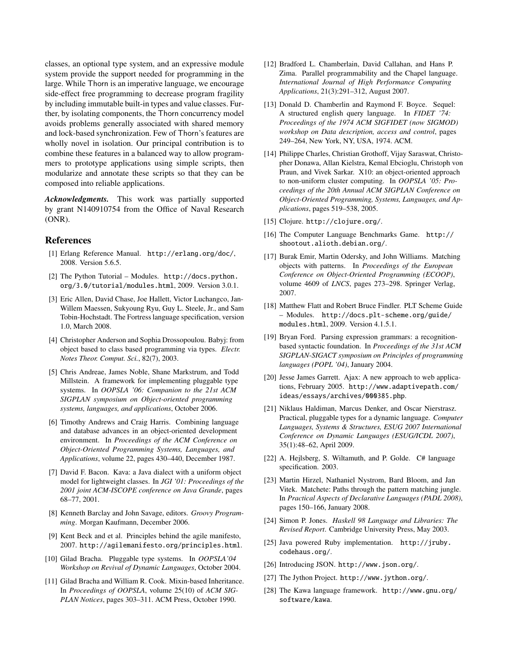classes, an optional type system, and an expressive module system provide the support needed for programming in the large. While Thorn is an imperative language, we encourage side-effect free programming to decrease program fragility by including immutable built-in types and value classes. Further, by isolating components, the Thorn concurrency model avoids problems generally associated with shared memory and lock-based synchronization. Few of Thorn's features are wholly novel in isolation. Our principal contribution is to combine these features in a balanced way to allow programmers to prototype applications using simple scripts, then modularize and annotate these scripts so that they can be composed into reliable applications.

*Acknowledgments.* This work was partially supported by grant N140910754 from the Office of Naval Research (ONR).

### References

- [1] Erlang Reference Manual. http://erlang.org/doc/, 2008. Version 5.6.5.
- [2] The Python Tutorial Modules. http://docs.python. org/3.0/tutorial/modules.html, 2009. Version 3.0.1.
- [3] Eric Allen, David Chase, Joe Hallett, Victor Luchangco, Jan-Willem Maessen, Sukyoung Ryu, Guy L. Steele, Jr., and Sam Tobin-Hochstadt. The Fortress language specification, version 1.0, March 2008.
- [4] Christopher Anderson and Sophia Drossopoulou. Babyj: from object based to class based programming via types. *Electr. Notes Theor. Comput. Sci.*, 82(7), 2003.
- [5] Chris Andreae, James Noble, Shane Markstrum, and Todd Millstein. A framework for implementing pluggable type systems. In *OOPSLA '06: Companion to the 21st ACM SIGPLAN symposium on Object-oriented programming systems, languages, and applications*, October 2006.
- [6] Timothy Andrews and Craig Harris. Combining language and database advances in an object-oriented development environment. In *Proceedings of the ACM Conference on Object-Oriented Programming Systems, Languages, and Applications*, volume 22, pages 430–440, December 1987.
- [7] David F. Bacon. Kava: a Java dialect with a uniform object model for lightweight classes. In *JGI '01: Proceedings of the 2001 joint ACM-ISCOPE conference on Java Grande*, pages 68–77, 2001.
- [8] Kenneth Barclay and John Savage, editors. *Groovy Programming*. Morgan Kaufmann, December 2006.
- [9] Kent Beck and et al. Principles behind the agile manifesto, 2007. http://agilemanifesto.org/principles.html.
- [10] Gilad Bracha. Pluggable type systems. In *OOPSLA'04 Workshop on Revival of Dynamic Languages*, October 2004.
- [11] Gilad Bracha and William R. Cook. Mixin-based Inheritance. In *Proceedings of OOPSLA*, volume 25(10) of *ACM SIG-PLAN Notices*, pages 303–311. ACM Press, October 1990.
- [12] Bradford L. Chamberlain, David Callahan, and Hans P. Zima. Parallel programmability and the Chapel language. *International Journal of High Performance Computing Applications*, 21(3):291–312, August 2007.
- [13] Donald D. Chamberlin and Raymond F. Boyce. Sequel: A structured english query language. In *FIDET '74: Proceedings of the 1974 ACM SIGFIDET (now SIGMOD) workshop on Data description, access and control*, pages 249–264, New York, NY, USA, 1974. ACM.
- [14] Philippe Charles, Christian Grothoff, Vijay Saraswat, Christopher Donawa, Allan Kielstra, Kemal Ebcioglu, Christoph von Praun, and Vivek Sarkar. X10: an object-oriented approach to non-uniform cluster computing. In *OOPSLA '05: Proceedings of the 20th Annual ACM SIGPLAN Conference on Object-Oriented Programming, Systems, Languages, and Applications*, pages 519–538, 2005.
- [15] Clojure. http://clojure.org/.
- [16] The Computer Language Benchmarks Game. http:// shootout.alioth.debian.org/.
- [17] Burak Emir, Martin Odersky, and John Williams. Matching objects with patterns. In *Proceedings of the European Conference on Object-Oriented Programming (ECOOP)*, volume 4609 of *LNCS*, pages 273–298. Springer Verlag, 2007.
- [18] Matthew Flatt and Robert Bruce Findler. PLT Scheme Guide – Modules. http://docs.plt-scheme.org/guide/ modules.html, 2009. Version 4.1.5.1.
- [19] Bryan Ford. Parsing expression grammars: a recognitionbased syntactic foundation. In *Proceedings of the 31st ACM SIGPLAN-SIGACT symposium on Principles of programming languages (POPL '04)*, January 2004.
- [20] Jesse James Garrett. Ajax: A new approach to web applications, February 2005. http://www.adaptivepath.com/ ideas/essays/archives/000385.php.
- [21] Niklaus Haldiman, Marcus Denker, and Oscar Nierstrasz. Practical, pluggable types for a dynamic language. *Computer Languages, Systems & Structures, ESUG 2007 International Conference on Dynamic Languages (ESUG/ICDL 2007)*, 35(1):48–62, April 2009.
- [22] A. Hejlsberg, S. Wiltamuth, and P. Golde. C# language specification. 2003.
- [23] Martin Hirzel, Nathaniel Nystrom, Bard Bloom, and Jan Vitek. Matchete: Paths through the pattern matching jungle. In *Practical Aspects of Declarative Languages (PADL 2008)*, pages 150–166, January 2008.
- [24] Simon P. Jones. *Haskell 98 Language and Libraries: The Revised Report*. Cambridge University Press, May 2003.
- [25] Java powered Ruby implementation. http://jruby. codehaus.org/.
- [26] Introducing JSON. http://www.json.org/.
- [27] The Jython Project. http://www.jython.org/.
- [28] The Kawa language framework. http://www.gnu.org/ software/kawa.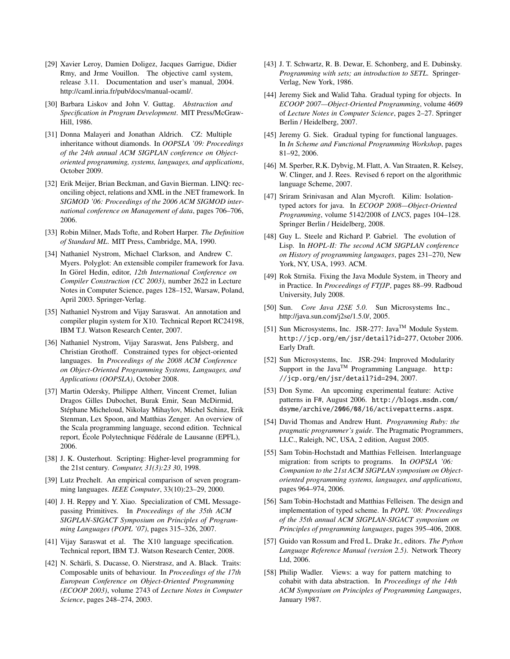- [29] Xavier Leroy, Damien Doligez, Jacques Garrigue, Didier Rmy, and Jrme Vouillon. The objective caml system, release 3.11. Documentation and user's manual, 2004. http://caml.inria.fr/pub/docs/manual-ocaml/.
- [30] Barbara Liskov and John V. Guttag. *Abstraction and Specification in Program Development*. MIT Press/McGraw-Hill, 1986.
- [31] Donna Malayeri and Jonathan Aldrich. CZ: Multiple inheritance without diamonds. In *OOPSLA '09: Proceedings of the 24th annual ACM SIGPLAN conference on Objectoriented programming, systems, languages, and applications*, October 2009.
- [32] Erik Meijer, Brian Beckman, and Gavin Bierman. LINQ: reconciling object, relations and XML in the .NET framework. In *SIGMOD '06: Proceedings of the 2006 ACM SIGMOD international conference on Management of data*, pages 706–706, 2006.
- [33] Robin Milner, Mads Tofte, and Robert Harper. *The Definition of Standard ML*. MIT Press, Cambridge, MA, 1990.
- [34] Nathaniel Nystrom, Michael Clarkson, and Andrew C. Myers. Polyglot: An extensible compiler framework for Java. In Görel Hedin, editor, 12th International Conference on *Compiler Construction (CC 2003)*, number 2622 in Lecture Notes in Computer Science, pages 128–152, Warsaw, Poland, April 2003. Springer-Verlag.
- [35] Nathaniel Nystrom and Vijay Saraswat. An annotation and compiler plugin system for X10. Technical Report RC24198, IBM T.J. Watson Research Center, 2007.
- [36] Nathaniel Nystrom, Vijay Saraswat, Jens Palsberg, and Christian Grothoff. Constrained types for object-oriented languages. In *Proceedings of the 2008 ACM Conference on Object-Oriented Programming Systems, Languages, and Applications (OOPSLA)*, October 2008.
- [37] Martin Odersky, Philippe Altherr, Vincent Cremet, Iulian Dragos Gilles Dubochet, Burak Emir, Sean McDirmid, Stéphane Micheloud, Nikolay Mihaylov, Michel Schinz, Erik Stenman, Lex Spoon, and Matthias Zenger. An overview of the Scala programming language, second edition. Technical report, École Polytechnique Fédérale de Lausanne (EPFL), 2006.
- [38] J. K. Ousterhout. Scripting: Higher-level programming for the 21st century. *Computer, 31(3):23 30*, 1998.
- [39] Lutz Prechelt. An empirical comparison of seven programming languages. *IEEE Computer*, 33(10):23–29, 2000.
- [40] J. H. Reppy and Y. Xiao. Specialization of CML Messagepassing Primitives. In *Proceedings of the 35th ACM SIGPLAN-SIGACT Symposium on Principles of Programming Languages (POPL '07)*, pages 315–326, 2007.
- [41] Vijay Saraswat et al. The X10 language specification. Technical report, IBM T.J. Watson Research Center, 2008.
- [42] N. Schärli, S. Ducasse, O. Nierstrasz, and A. Black. Traits: Composable units of behaviour. In *Proceedings of the 17th European Conference on Object-Oriented Programming (ECOOP 2003)*, volume 2743 of *Lecture Notes in Computer Science*, pages 248–274, 2003.
- [43] J. T. Schwartz, R. B. Dewar, E. Schonberg, and E. Dubinsky. *Programming with sets; an introduction to SETL*. Springer-Verlag, New York, 1986.
- [44] Jeremy Siek and Walid Taha. Gradual typing for objects. In *ECOOP 2007—Object-Oriented Programming*, volume 4609 of *Lecture Notes in Computer Science*, pages 2–27. Springer Berlin / Heidelberg, 2007.
- [45] Jeremy G. Siek. Gradual typing for functional languages. In *In Scheme and Functional Programming Workshop*, pages 81–92, 2006.
- [46] M. Sperber, R.K. Dybvig, M. Flatt, A. Van Straaten, R. Kelsey, W. Clinger, and J. Rees. Revised 6 report on the algorithmic language Scheme, 2007.
- [47] Sriram Srinivasan and Alan Mycroft. Kilim: Isolationtyped actors for java. In *ECOOP 2008—Object-Oriented Programming*, volume 5142/2008 of *LNCS*, pages 104–128. Springer Berlin / Heidelberg, 2008.
- [48] Guy L. Steele and Richard P. Gabriel. The evolution of Lisp. In *HOPL-II: The second ACM SIGPLAN conference on History of programming languages*, pages 231–270, New York, NY, USA, 1993. ACM.
- [49] Rok Strniša. Fixing the Java Module System, in Theory and in Practice. In *Proceedings of FTfJP*, pages 88–99. Radboud University, July 2008.
- [50] Sun. *Core Java J2SE 5.0*. Sun Microsystems Inc., http://java.sun.com/j2se/1.5.0/, 2005.
- [51] Sun Microsystems, Inc. JSR-277: Java™ Module System. http://jcp.org/en/jsr/detail?id=277, October 2006. Early Draft.
- [52] Sun Microsystems, Inc. JSR-294: Improved Modularity Support in the Java<sup>TM</sup> Programming Language. http: //jcp.org/en/jsr/detail?id=294, 2007.
- [53] Don Syme. An upcoming experimental feature: Active patterns in F#, August 2006. http://blogs.msdn.com/ dsyme/archive/2006/08/16/activepatterns.aspx.
- [54] David Thomas and Andrew Hunt. *Programming Ruby: the pragmatic programmer's guide*. The Pragmatic Programmers, LLC., Raleigh, NC, USA, 2 edition, August 2005.
- [55] Sam Tobin-Hochstadt and Matthias Felleisen. Interlanguage migration: from scripts to programs. In *OOPSLA '06: Companion to the 21st ACM SIGPLAN symposium on Objectoriented programming systems, languages, and applications*, pages 964–974, 2006.
- [56] Sam Tobin-Hochstadt and Matthias Felleisen. The design and implementation of typed scheme. In *POPL '08: Proceedings of the 35th annual ACM SIGPLAN-SIGACT symposium on Principles of programming languages*, pages 395–406, 2008.
- [57] Guido van Rossum and Fred L. Drake Jr., editors. *The Python Language Reference Manual (version 2.5)*. Network Theory Ltd, 2006.
- [58] Philip Wadler. Views: a way for pattern matching to cohabit with data abstraction. In *Proceedings of the 14th ACM Symposium on Principles of Programming Languages*, January 1987.